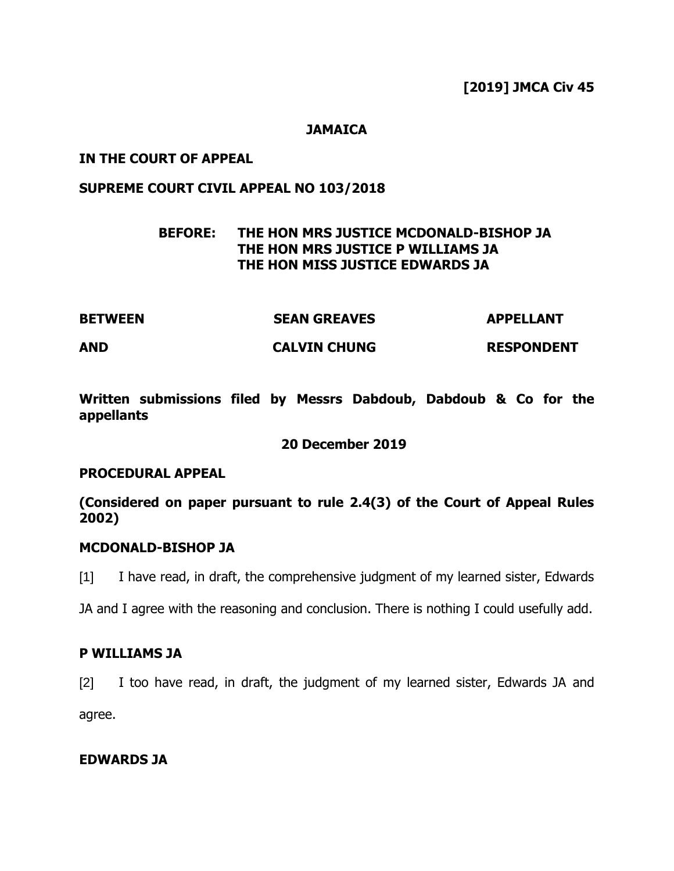## **JAMAICA**

## **IN THE COURT OF APPEAL**

## **SUPREME COURT CIVIL APPEAL NO 103/2018**

# **BEFORE: THE HON MRS JUSTICE MCDONALD-BISHOP JA THE HON MRS JUSTICE P WILLIAMS JA THE HON MISS JUSTICE EDWARDS JA**

| <b>BETWEEN</b> | <b>SEAN GREAVES</b> | <b>APPELLANT</b>  |
|----------------|---------------------|-------------------|
| <b>AND</b>     | <b>CALVIN CHUNG</b> | <b>RESPONDENT</b> |

**Written submissions filed by Messrs Dabdoub, Dabdoub & Co for the appellants**

**20 December 2019** 

### **PROCEDURAL APPEAL**

**(Considered on paper pursuant to rule 2.4(3) of the Court of Appeal Rules 2002)**

### **MCDONALD-BISHOP JA**

[1] I have read, in draft, the comprehensive judgment of my learned sister, Edwards

JA and I agree with the reasoning and conclusion. There is nothing I could usefully add.

## **P WILLIAMS JA**

[2] I too have read, in draft, the judgment of my learned sister, Edwards JA and

agree.

## **EDWARDS JA**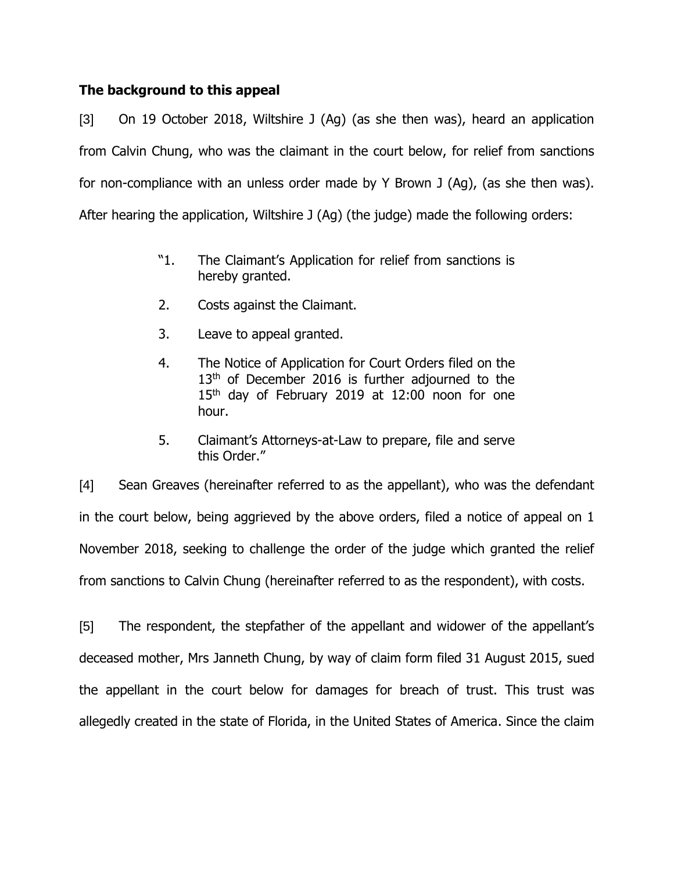# **The background to this appeal**

[3] On 19 October 2018, Wiltshire J (Ag) (as she then was), heard an application from Calvin Chung, who was the claimant in the court below, for relief from sanctions for non-compliance with an unless order made by Y Brown J (Ag), (as she then was). After hearing the application, Wiltshire J (Ag) (the judge) made the following orders:

- "1. The Claimant's Application for relief from sanctions is hereby granted.
- 2. Costs against the Claimant.
- 3. Leave to appeal granted.
- 4. The Notice of Application for Court Orders filed on the 13<sup>th</sup> of December 2016 is further adjourned to the 15<sup>th</sup> day of February 2019 at 12:00 noon for one hour.
- 5. Claimant's Attorneys-at-Law to prepare, file and serve this Order."

[4] Sean Greaves (hereinafter referred to as the appellant), who was the defendant in the court below, being aggrieved by the above orders, filed a notice of appeal on 1 November 2018, seeking to challenge the order of the judge which granted the relief from sanctions to Calvin Chung (hereinafter referred to as the respondent), with costs.

[5] The respondent, the stepfather of the appellant and widower of the appellant's deceased mother, Mrs Janneth Chung, by way of claim form filed 31 August 2015, sued the appellant in the court below for damages for breach of trust. This trust was allegedly created in the state of Florida, in the United States of America. Since the claim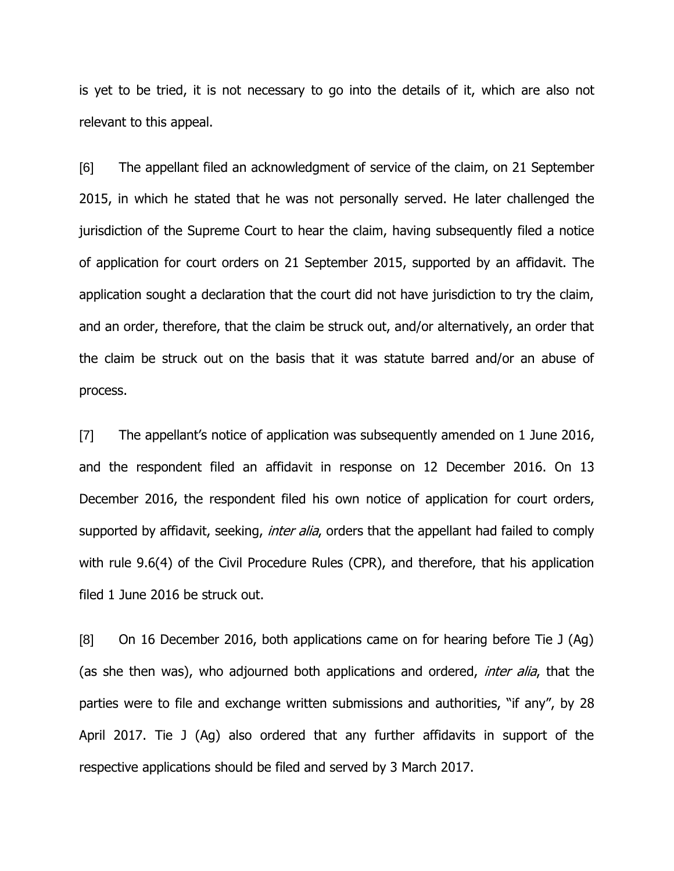is yet to be tried, it is not necessary to go into the details of it, which are also not relevant to this appeal.

[6] The appellant filed an acknowledgment of service of the claim, on 21 September 2015, in which he stated that he was not personally served. He later challenged the jurisdiction of the Supreme Court to hear the claim, having subsequently filed a notice of application for court orders on 21 September 2015, supported by an affidavit. The application sought a declaration that the court did not have jurisdiction to try the claim, and an order, therefore, that the claim be struck out, and/or alternatively, an order that the claim be struck out on the basis that it was statute barred and/or an abuse of process.

[7] The appellant's notice of application was subsequently amended on 1 June 2016, and the respondent filed an affidavit in response on 12 December 2016. On 13 December 2016, the respondent filed his own notice of application for court orders, supported by affidavit, seeking, *inter alia*, orders that the appellant had failed to comply with rule 9.6(4) of the Civil Procedure Rules (CPR), and therefore, that his application filed 1 June 2016 be struck out.

[8] On 16 December 2016, both applications came on for hearing before Tie J (Ag) (as she then was), who adjourned both applications and ordered, *inter alia*, that the parties were to file and exchange written submissions and authorities, "if any", by 28 April 2017. Tie J (Ag) also ordered that any further affidavits in support of the respective applications should be filed and served by 3 March 2017.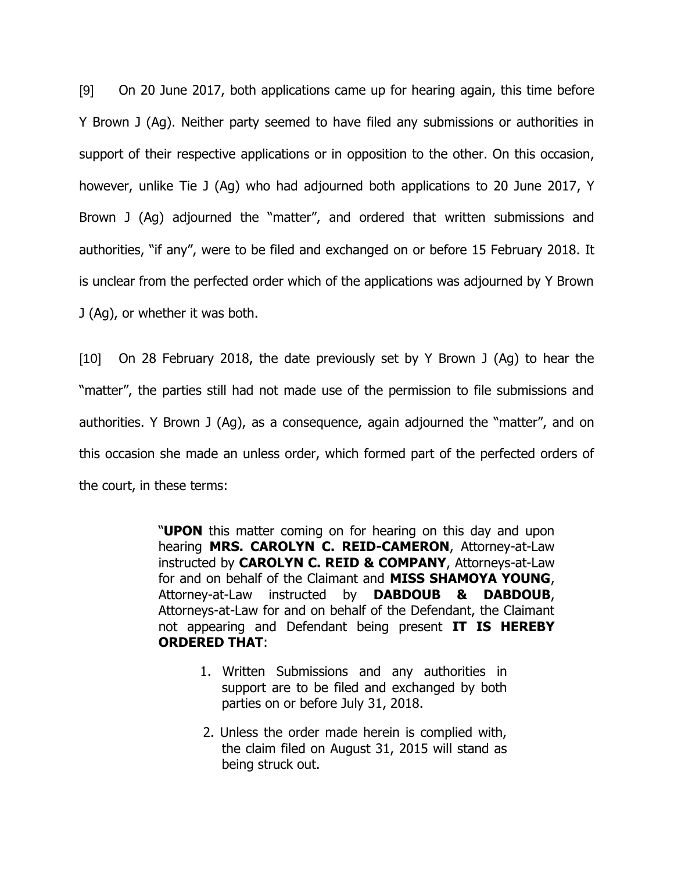[9] On 20 June 2017, both applications came up for hearing again, this time before Y Brown J (Ag). Neither party seemed to have filed any submissions or authorities in support of their respective applications or in opposition to the other. On this occasion, however, unlike Tie J (Ag) who had adjourned both applications to 20 June 2017, Y Brown J (Ag) adjourned the "matter", and ordered that written submissions and authorities, "if any", were to be filed and exchanged on or before 15 February 2018. It is unclear from the perfected order which of the applications was adjourned by Y Brown J (Ag), or whether it was both.

[10] On 28 February 2018, the date previously set by Y Brown J (Ag) to hear the "matter", the parties still had not made use of the permission to file submissions and authorities. Y Brown J (Ag), as a consequence, again adjourned the "matter", and on this occasion she made an unless order, which formed part of the perfected orders of the court, in these terms:

> "**UPON** this matter coming on for hearing on this day and upon hearing **MRS. CAROLYN C. REID-CAMERON**, Attorney-at-Law instructed by **CAROLYN C. REID & COMPANY**, Attorneys-at-Law for and on behalf of the Claimant and **MISS SHAMOYA YOUNG**, Attorney-at-Law instructed by **DABDOUB & DABDOUB**, Attorneys-at-Law for and on behalf of the Defendant, the Claimant not appearing and Defendant being present **IT IS HEREBY ORDERED THAT**:

- 1. Written Submissions and any authorities in support are to be filed and exchanged by both parties on or before July 31, 2018.
- 2. Unless the order made herein is complied with, the claim filed on August 31, 2015 will stand as being struck out.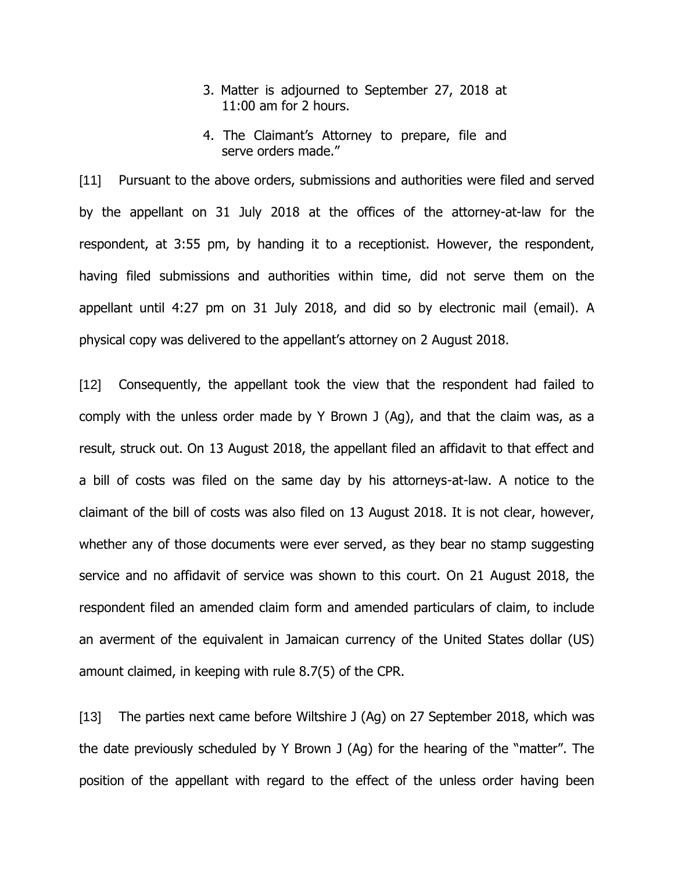- 3. Matter is adjourned to September 27, 2018 at 11:00 am for 2 hours.
- 4. The Claimant's Attorney to prepare, file and serve orders made."

[11] Pursuant to the above orders, submissions and authorities were filed and served by the appellant on 31 July 2018 at the offices of the attorney-at-law for the respondent, at 3:55 pm, by handing it to a receptionist. However, the respondent, having filed submissions and authorities within time, did not serve them on the appellant until 4:27 pm on 31 July 2018, and did so by electronic mail (email). A physical copy was delivered to the appellant's attorney on 2 August 2018.

[12] Consequently, the appellant took the view that the respondent had failed to comply with the unless order made by Y Brown J (Ag), and that the claim was, as a result, struck out. On 13 August 2018, the appellant filed an affidavit to that effect and a bill of costs was filed on the same day by his attorneys-at-law. A notice to the claimant of the bill of costs was also filed on 13 August 2018. It is not clear, however, whether any of those documents were ever served, as they bear no stamp suggesting service and no affidavit of service was shown to this court. On 21 August 2018, the respondent filed an amended claim form and amended particulars of claim, to include an averment of the equivalent in Jamaican currency of the United States dollar (US) amount claimed, in keeping with rule 8.7(5) of the CPR.

[13] The parties next came before Wiltshire J (Ag) on 27 September 2018, which was the date previously scheduled by Y Brown J (Ag) for the hearing of the "matter". The position of the appellant with regard to the effect of the unless order having been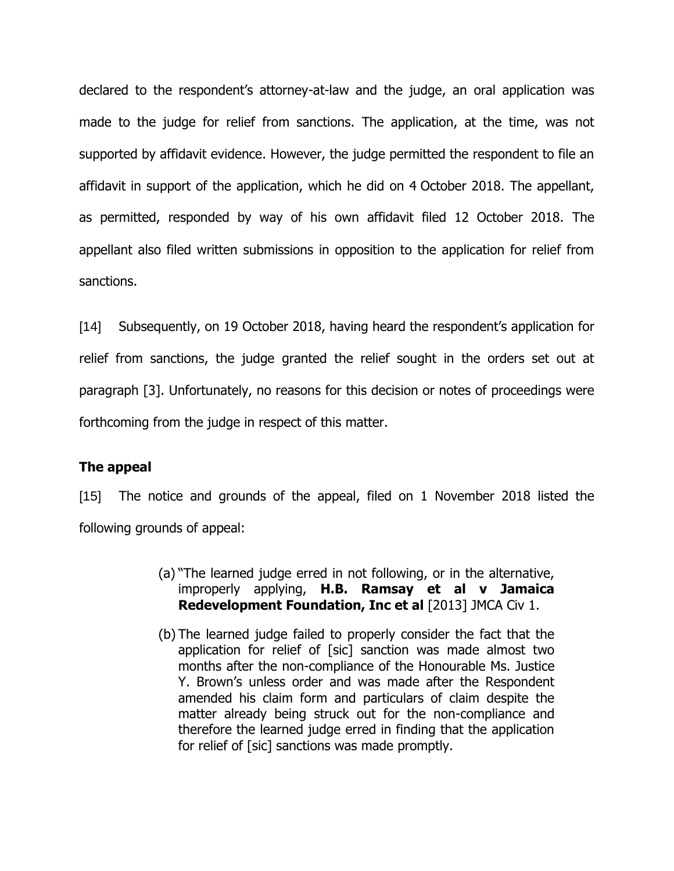declared to the respondent's attorney-at-law and the judge, an oral application was made to the judge for relief from sanctions. The application, at the time, was not supported by affidavit evidence. However, the judge permitted the respondent to file an affidavit in support of the application, which he did on 4 October 2018. The appellant, as permitted, responded by way of his own affidavit filed 12 October 2018. The appellant also filed written submissions in opposition to the application for relief from sanctions.

[14] Subsequently, on 19 October 2018, having heard the respondent's application for relief from sanctions, the judge granted the relief sought in the orders set out at paragraph [3]. Unfortunately, no reasons for this decision or notes of proceedings were forthcoming from the judge in respect of this matter.

## **The appeal**

[15] The notice and grounds of the appeal, filed on 1 November 2018 listed the following grounds of appeal:

- (a) "The learned judge erred in not following, or in the alternative, improperly applying, **H.B. Ramsay et al v Jamaica Redevelopment Foundation, Inc et al** [2013] JMCA Civ 1.
- (b) The learned judge failed to properly consider the fact that the application for relief of [sic] sanction was made almost two months after the non-compliance of the Honourable Ms. Justice Y. Brown's unless order and was made after the Respondent amended his claim form and particulars of claim despite the matter already being struck out for the non-compliance and therefore the learned judge erred in finding that the application for relief of [sic] sanctions was made promptly.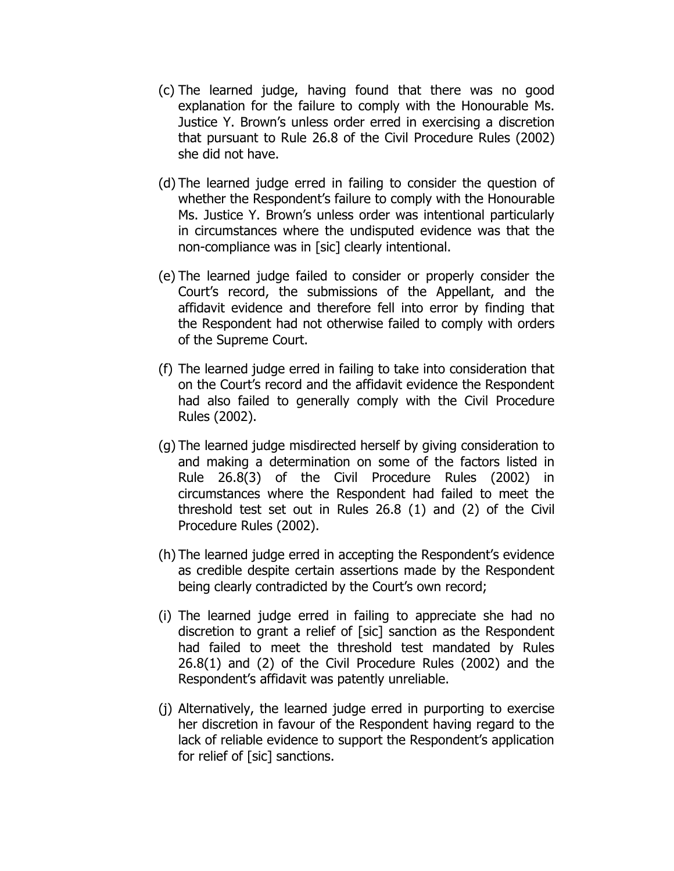- (c) The learned judge, having found that there was no good explanation for the failure to comply with the Honourable Ms. Justice Y. Brown's unless order erred in exercising a discretion that pursuant to Rule 26.8 of the Civil Procedure Rules (2002) she did not have.
- (d) The learned judge erred in failing to consider the question of whether the Respondent's failure to comply with the Honourable Ms. Justice Y. Brown's unless order was intentional particularly in circumstances where the undisputed evidence was that the non-compliance was in [sic] clearly intentional.
- (e) The learned judge failed to consider or properly consider the Court's record, the submissions of the Appellant, and the affidavit evidence and therefore fell into error by finding that the Respondent had not otherwise failed to comply with orders of the Supreme Court.
- (f) The learned judge erred in failing to take into consideration that on the Court's record and the affidavit evidence the Respondent had also failed to generally comply with the Civil Procedure Rules (2002).
- (g) The learned judge misdirected herself by giving consideration to and making a determination on some of the factors listed in Rule 26.8(3) of the Civil Procedure Rules (2002) in circumstances where the Respondent had failed to meet the threshold test set out in Rules 26.8 (1) and (2) of the Civil Procedure Rules (2002).
- (h) The learned judge erred in accepting the Respondent's evidence as credible despite certain assertions made by the Respondent being clearly contradicted by the Court's own record;
- (i) The learned judge erred in failing to appreciate she had no discretion to grant a relief of [sic] sanction as the Respondent had failed to meet the threshold test mandated by Rules 26.8(1) and (2) of the Civil Procedure Rules (2002) and the Respondent's affidavit was patently unreliable.
- (j) Alternatively, the learned judge erred in purporting to exercise her discretion in favour of the Respondent having regard to the lack of reliable evidence to support the Respondent's application for relief of [sic] sanctions.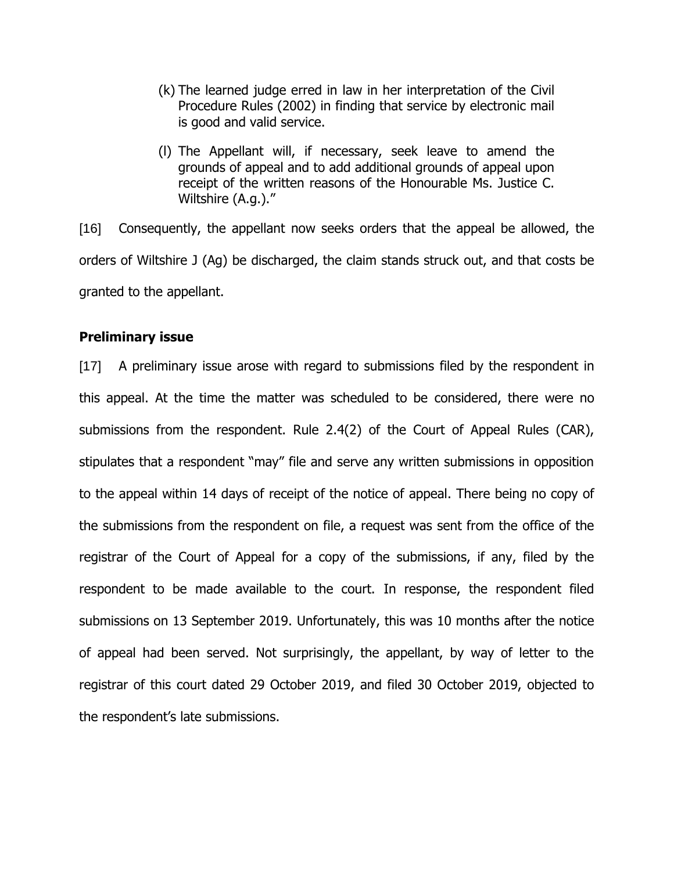- (k) The learned judge erred in law in her interpretation of the Civil Procedure Rules (2002) in finding that service by electronic mail is good and valid service.
- (l) The Appellant will, if necessary, seek leave to amend the grounds of appeal and to add additional grounds of appeal upon receipt of the written reasons of the Honourable Ms. Justice C. Wiltshire (A.g.)."

[16] Consequently, the appellant now seeks orders that the appeal be allowed, the orders of Wiltshire J (Ag) be discharged, the claim stands struck out, and that costs be granted to the appellant.

### **Preliminary issue**

[17] A preliminary issue arose with regard to submissions filed by the respondent in this appeal. At the time the matter was scheduled to be considered, there were no submissions from the respondent. Rule 2.4(2) of the Court of Appeal Rules (CAR), stipulates that a respondent "may" file and serve any written submissions in opposition to the appeal within 14 days of receipt of the notice of appeal. There being no copy of the submissions from the respondent on file, a request was sent from the office of the registrar of the Court of Appeal for a copy of the submissions, if any, filed by the respondent to be made available to the court. In response, the respondent filed submissions on 13 September 2019. Unfortunately, this was 10 months after the notice of appeal had been served. Not surprisingly, the appellant, by way of letter to the registrar of this court dated 29 October 2019, and filed 30 October 2019, objected to the respondent's late submissions.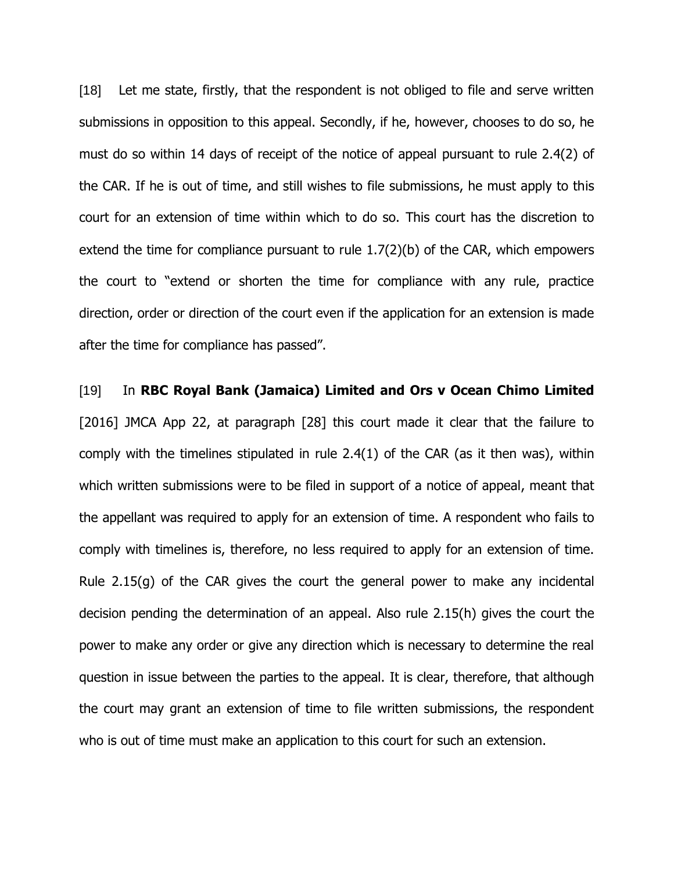[18] Let me state, firstly, that the respondent is not obliged to file and serve written submissions in opposition to this appeal. Secondly, if he, however, chooses to do so, he must do so within 14 days of receipt of the notice of appeal pursuant to rule 2.4(2) of the CAR. If he is out of time, and still wishes to file submissions, he must apply to this court for an extension of time within which to do so. This court has the discretion to extend the time for compliance pursuant to rule 1.7(2)(b) of the CAR, which empowers the court to "extend or shorten the time for compliance with any rule, practice direction, order or direction of the court even if the application for an extension is made after the time for compliance has passed".

[19] In **RBC Royal Bank (Jamaica) Limited and Ors v Ocean Chimo Limited** [2016] JMCA App 22, at paragraph [28] this court made it clear that the failure to comply with the timelines stipulated in rule 2.4(1) of the CAR (as it then was), within which written submissions were to be filed in support of a notice of appeal, meant that the appellant was required to apply for an extension of time. A respondent who fails to comply with timelines is, therefore, no less required to apply for an extension of time. Rule 2.15(g) of the CAR gives the court the general power to make any incidental decision pending the determination of an appeal. Also rule 2.15(h) gives the court the power to make any order or give any direction which is necessary to determine the real question in issue between the parties to the appeal. It is clear, therefore, that although the court may grant an extension of time to file written submissions, the respondent who is out of time must make an application to this court for such an extension.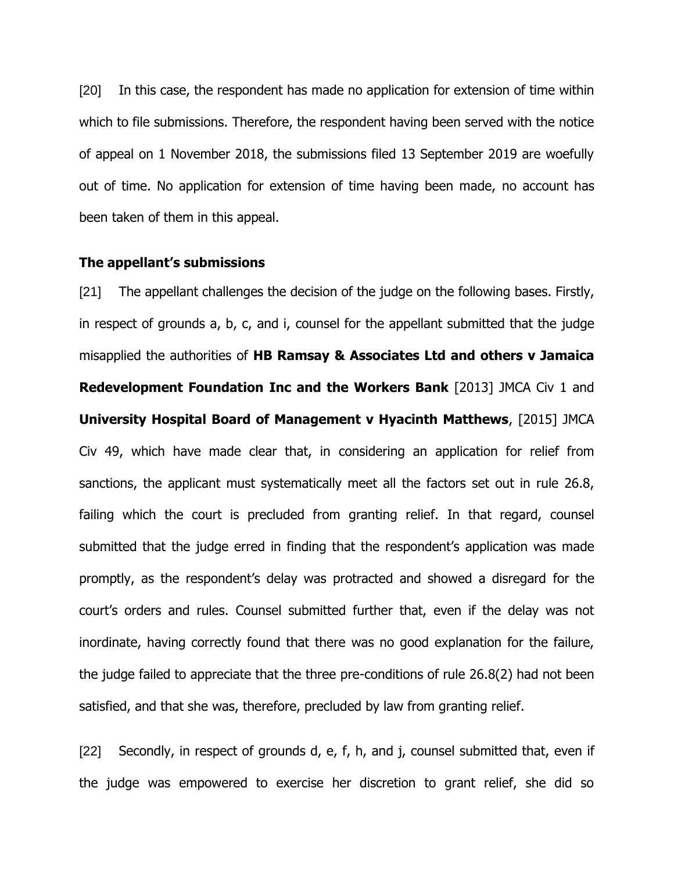[20] In this case, the respondent has made no application for extension of time within which to file submissions. Therefore, the respondent having been served with the notice of appeal on 1 November 2018, the submissions filed 13 September 2019 are woefully out of time. No application for extension of time having been made, no account has been taken of them in this appeal.

#### **The appellant's submissions**

[21] The appellant challenges the decision of the judge on the following bases. Firstly, in respect of grounds a, b, c, and i, counsel for the appellant submitted that the judge misapplied the authorities of **HB Ramsay & Associates Ltd and others v Jamaica Redevelopment Foundation Inc and the Workers Bank** [2013] JMCA Civ 1 and **University Hospital Board of Management v Hyacinth Matthews**, [2015] JMCA Civ 49, which have made clear that, in considering an application for relief from sanctions, the applicant must systematically meet all the factors set out in rule 26.8, failing which the court is precluded from granting relief. In that regard, counsel submitted that the judge erred in finding that the respondent's application was made promptly, as the respondent's delay was protracted and showed a disregard for the court's orders and rules. Counsel submitted further that, even if the delay was not inordinate, having correctly found that there was no good explanation for the failure, the judge failed to appreciate that the three pre-conditions of rule 26.8(2) had not been satisfied, and that she was, therefore, precluded by law from granting relief.

[22] Secondly, in respect of grounds d, e, f, h, and j, counsel submitted that, even if the judge was empowered to exercise her discretion to grant relief, she did so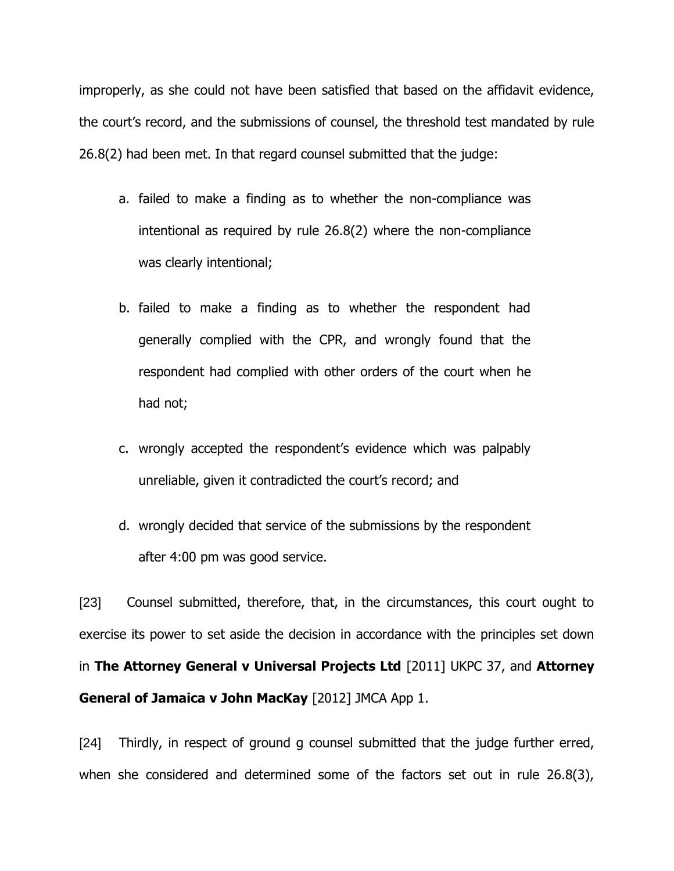improperly, as she could not have been satisfied that based on the affidavit evidence, the court's record, and the submissions of counsel, the threshold test mandated by rule 26.8(2) had been met. In that regard counsel submitted that the judge:

- a. failed to make a finding as to whether the non-compliance was intentional as required by rule 26.8(2) where the non-compliance was clearly intentional;
- b. failed to make a finding as to whether the respondent had generally complied with the CPR, and wrongly found that the respondent had complied with other orders of the court when he had not;
- c. wrongly accepted the respondent's evidence which was palpably unreliable, given it contradicted the court's record; and
- d. wrongly decided that service of the submissions by the respondent after 4:00 pm was good service.

[23] Counsel submitted, therefore, that, in the circumstances, this court ought to exercise its power to set aside the decision in accordance with the principles set down in **The Attorney General v Universal Projects Ltd** [2011] UKPC 37, and **Attorney General of Jamaica v John MacKay** [2012] JMCA App 1.

[24] Thirdly, in respect of ground g counsel submitted that the judge further erred, when she considered and determined some of the factors set out in rule 26.8(3),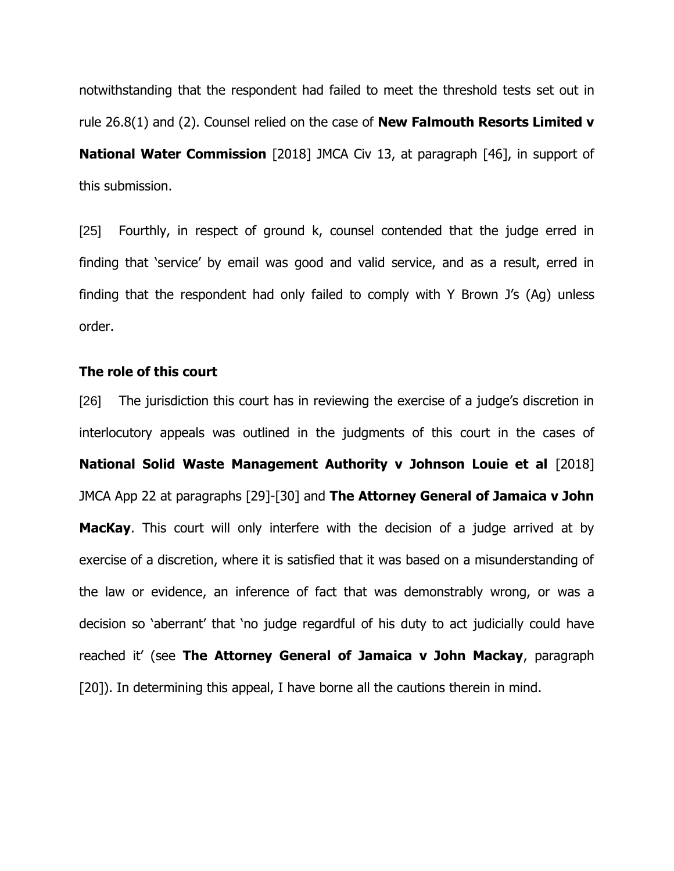notwithstanding that the respondent had failed to meet the threshold tests set out in rule 26.8(1) and (2). Counsel relied on the case of **New Falmouth Resorts Limited v National Water Commission** [2018] JMCA Civ 13, at paragraph [46], in support of this submission.

[25] Fourthly, in respect of ground k, counsel contended that the judge erred in finding that 'service' by email was good and valid service, and as a result, erred in finding that the respondent had only failed to comply with Y Brown J's (Ag) unless order.

### **The role of this court**

[26] The jurisdiction this court has in reviewing the exercise of a judge's discretion in interlocutory appeals was outlined in the judgments of this court in the cases of **National Solid Waste Management Authority v Johnson Louie et al** [2018] JMCA App 22 at paragraphs [29]-[30] and **The Attorney General of Jamaica v John MacKay**. This court will only interfere with the decision of a judge arrived at by exercise of a discretion, where it is satisfied that it was based on a misunderstanding of the law or evidence, an inference of fact that was demonstrably wrong, or was a decision so 'aberrant' that 'no judge regardful of his duty to act judicially could have reached it' (see **The Attorney General of Jamaica v John Mackay**, paragraph [20]). In determining this appeal, I have borne all the cautions therein in mind.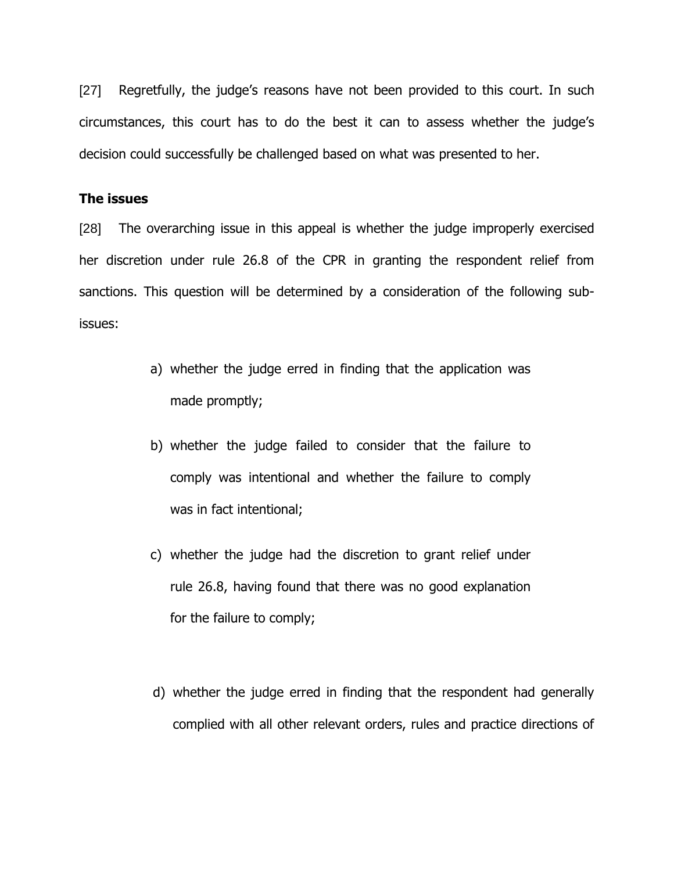[27] Regretfully, the judge's reasons have not been provided to this court. In such circumstances, this court has to do the best it can to assess whether the judge's decision could successfully be challenged based on what was presented to her.

### **The issues**

[28] The overarching issue in this appeal is whether the judge improperly exercised her discretion under rule 26.8 of the CPR in granting the respondent relief from sanctions. This question will be determined by a consideration of the following subissues:

- a) whether the judge erred in finding that the application was made promptly;
- b) whether the judge failed to consider that the failure to comply was intentional and whether the failure to comply was in fact intentional;
- c) whether the judge had the discretion to grant relief under rule 26.8, having found that there was no good explanation for the failure to comply;
- d) whether the judge erred in finding that the respondent had generally complied with all other relevant orders, rules and practice directions of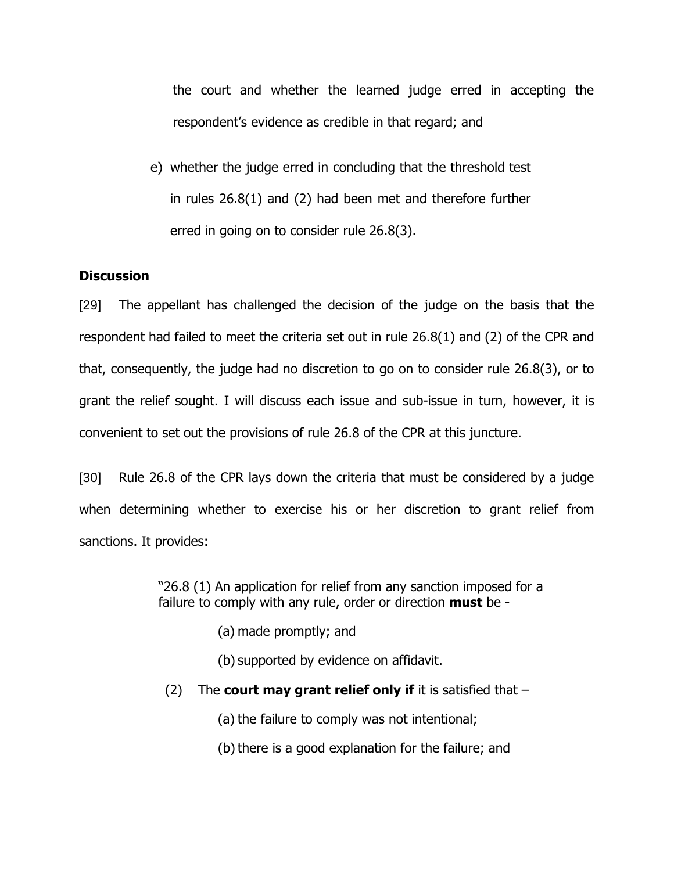the court and whether the learned judge erred in accepting the respondent's evidence as credible in that regard; and

e) whether the judge erred in concluding that the threshold test in rules 26.8(1) and (2) had been met and therefore further erred in going on to consider rule 26.8(3).

## **Discussion**

[29] The appellant has challenged the decision of the judge on the basis that the respondent had failed to meet the criteria set out in rule 26.8(1) and (2) of the CPR and that, consequently, the judge had no discretion to go on to consider rule 26.8(3), or to grant the relief sought. I will discuss each issue and sub-issue in turn, however, it is convenient to set out the provisions of rule 26.8 of the CPR at this juncture.

[30] Rule 26.8 of the CPR lays down the criteria that must be considered by a judge when determining whether to exercise his or her discretion to grant relief from sanctions. It provides:

> "26.8 (1) An application for relief from any sanction imposed for a failure to comply with any rule, order or direction **must** be -

> > (a) made promptly; and

(b) supported by evidence on affidavit.

(2) The **court may grant relief only if** it is satisfied that –

(a) the failure to comply was not intentional;

(b) there is a good explanation for the failure; and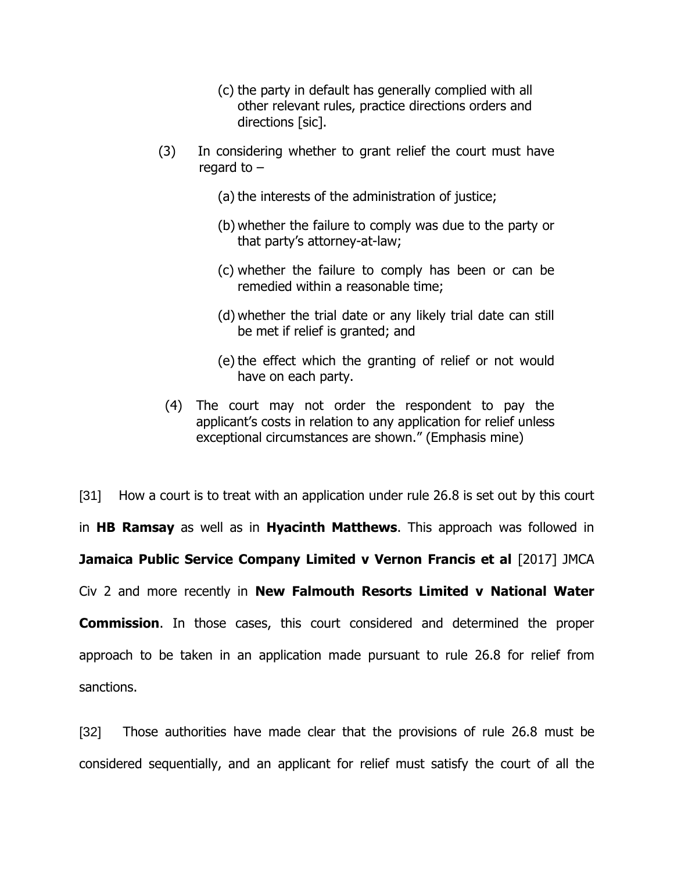- (c) the party in default has generally complied with all other relevant rules, practice directions orders and directions [sic].
- (3) In considering whether to grant relief the court must have regard to –
	- (a) the interests of the administration of justice;
	- (b) whether the failure to comply was due to the party or that party's attorney-at-law;
	- (c) whether the failure to comply has been or can be remedied within a reasonable time;
	- (d) whether the trial date or any likely trial date can still be met if relief is granted; and
	- (e) the effect which the granting of relief or not would have on each party.
	- (4) The court may not order the respondent to pay the applicant's costs in relation to any application for relief unless exceptional circumstances are shown." (Emphasis mine)

[31] How a court is to treat with an application under rule 26.8 is set out by this court in **HB Ramsay** as well as in **Hyacinth Matthews**. This approach was followed in **Jamaica Public Service Company Limited v Vernon Francis et al** [2017] JMCA Civ 2 and more recently in **New Falmouth Resorts Limited v National Water Commission**. In those cases, this court considered and determined the proper approach to be taken in an application made pursuant to rule 26.8 for relief from sanctions.

[32] Those authorities have made clear that the provisions of rule 26.8 must be considered sequentially, and an applicant for relief must satisfy the court of all the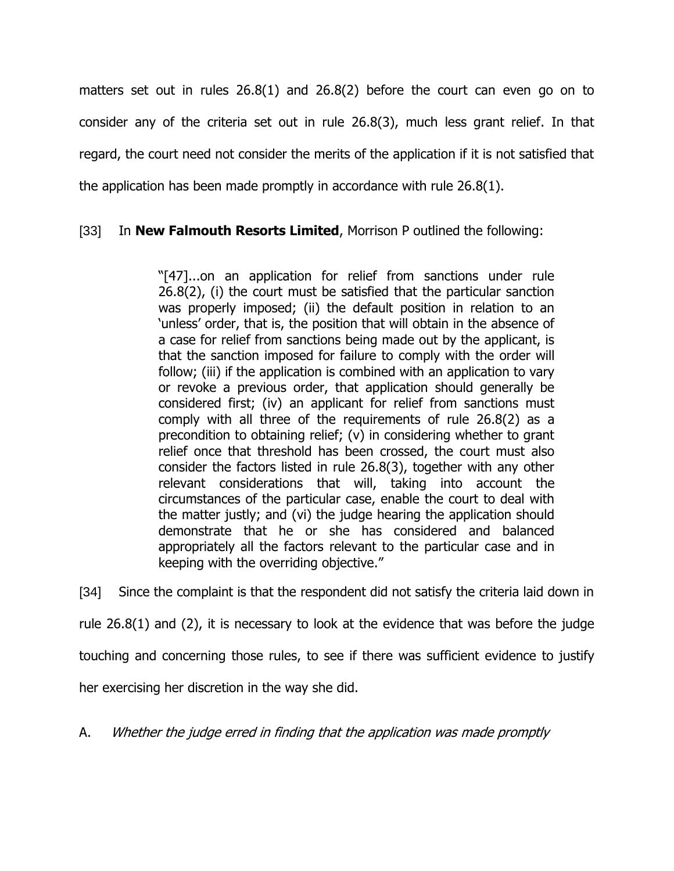matters set out in rules 26.8(1) and 26.8(2) before the court can even go on to consider any of the criteria set out in rule 26.8(3), much less grant relief. In that regard, the court need not consider the merits of the application if it is not satisfied that the application has been made promptly in accordance with rule 26.8(1).

# [33] In **New Falmouth Resorts Limited**, Morrison P outlined the following:

"[47]...on an application for relief from sanctions under rule 26.8(2), (i) the court must be satisfied that the particular sanction was properly imposed; (ii) the default position in relation to an 'unless' order, that is, the position that will obtain in the absence of a case for relief from sanctions being made out by the applicant, is that the sanction imposed for failure to comply with the order will follow; (iii) if the application is combined with an application to vary or revoke a previous order, that application should generally be considered first; (iv) an applicant for relief from sanctions must comply with all three of the requirements of rule 26.8(2) as a precondition to obtaining relief; (v) in considering whether to grant relief once that threshold has been crossed, the court must also consider the factors listed in rule 26.8(3), together with any other relevant considerations that will, taking into account the circumstances of the particular case, enable the court to deal with the matter justly; and (vi) the judge hearing the application should demonstrate that he or she has considered and balanced appropriately all the factors relevant to the particular case and in keeping with the overriding objective."

[34] Since the complaint is that the respondent did not satisfy the criteria laid down in

rule 26.8(1) and (2), it is necessary to look at the evidence that was before the judge

touching and concerning those rules, to see if there was sufficient evidence to justify

her exercising her discretion in the way she did.

A. Whether the judge erred in finding that the application was made promptly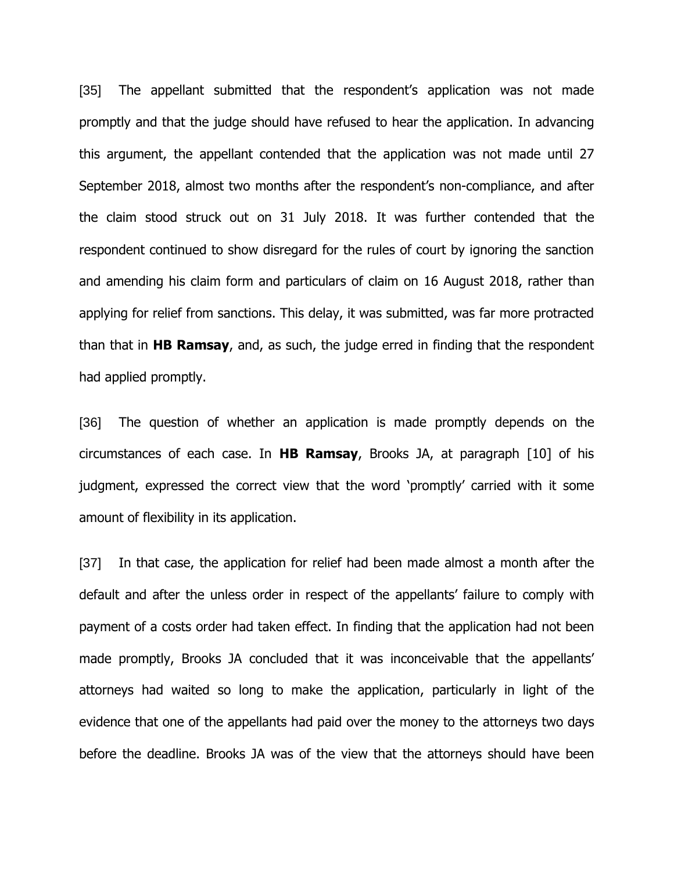[35] The appellant submitted that the respondent's application was not made promptly and that the judge should have refused to hear the application. In advancing this argument, the appellant contended that the application was not made until 27 September 2018, almost two months after the respondent's non-compliance, and after the claim stood struck out on 31 July 2018. It was further contended that the respondent continued to show disregard for the rules of court by ignoring the sanction and amending his claim form and particulars of claim on 16 August 2018, rather than applying for relief from sanctions. This delay, it was submitted, was far more protracted than that in **HB Ramsay**, and, as such, the judge erred in finding that the respondent had applied promptly.

[36] The question of whether an application is made promptly depends on the circumstances of each case. In **HB Ramsay**, Brooks JA, at paragraph [10] of his judgment, expressed the correct view that the word 'promptly' carried with it some amount of flexibility in its application.

[37] In that case, the application for relief had been made almost a month after the default and after the unless order in respect of the appellants' failure to comply with payment of a costs order had taken effect. In finding that the application had not been made promptly, Brooks JA concluded that it was inconceivable that the appellants' attorneys had waited so long to make the application, particularly in light of the evidence that one of the appellants had paid over the money to the attorneys two days before the deadline. Brooks JA was of the view that the attorneys should have been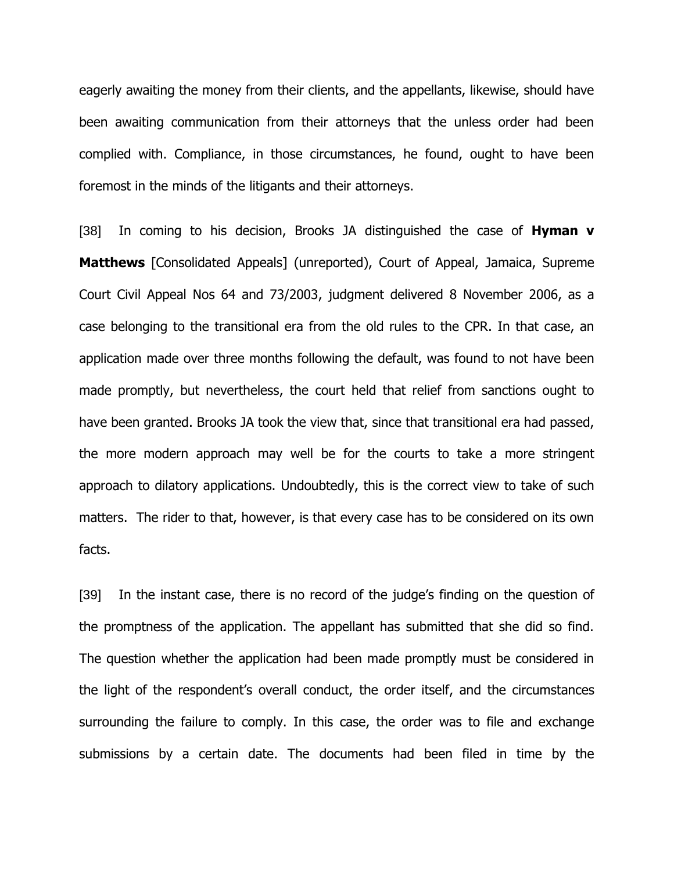eagerly awaiting the money from their clients, and the appellants, likewise, should have been awaiting communication from their attorneys that the unless order had been complied with. Compliance, in those circumstances, he found, ought to have been foremost in the minds of the litigants and their attorneys.

[38] In coming to his decision, Brooks JA distinguished the case of **Hyman v Matthews** [Consolidated Appeals] (unreported), Court of Appeal, Jamaica, Supreme Court Civil Appeal Nos 64 and 73/2003, judgment delivered 8 November 2006, as a case belonging to the transitional era from the old rules to the CPR. In that case, an application made over three months following the default, was found to not have been made promptly, but nevertheless, the court held that relief from sanctions ought to have been granted. Brooks JA took the view that, since that transitional era had passed, the more modern approach may well be for the courts to take a more stringent approach to dilatory applications. Undoubtedly, this is the correct view to take of such matters. The rider to that, however, is that every case has to be considered on its own facts.

[39] In the instant case, there is no record of the judge's finding on the question of the promptness of the application. The appellant has submitted that she did so find. The question whether the application had been made promptly must be considered in the light of the respondent's overall conduct, the order itself, and the circumstances surrounding the failure to comply. In this case, the order was to file and exchange submissions by a certain date. The documents had been filed in time by the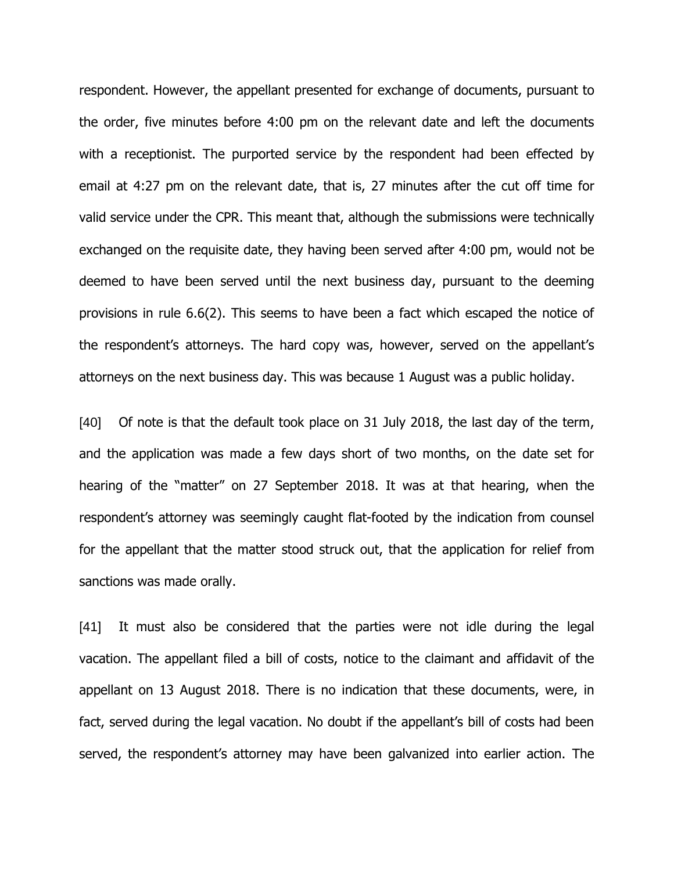respondent. However, the appellant presented for exchange of documents, pursuant to the order, five minutes before 4:00 pm on the relevant date and left the documents with a receptionist. The purported service by the respondent had been effected by email at 4:27 pm on the relevant date, that is, 27 minutes after the cut off time for valid service under the CPR. This meant that, although the submissions were technically exchanged on the requisite date, they having been served after 4:00 pm, would not be deemed to have been served until the next business day, pursuant to the deeming provisions in rule 6.6(2). This seems to have been a fact which escaped the notice of the respondent's attorneys. The hard copy was, however, served on the appellant's attorneys on the next business day. This was because 1 August was a public holiday.

[40] Of note is that the default took place on 31 July 2018, the last day of the term, and the application was made a few days short of two months, on the date set for hearing of the "matter" on 27 September 2018. It was at that hearing, when the respondent's attorney was seemingly caught flat-footed by the indication from counsel for the appellant that the matter stood struck out, that the application for relief from sanctions was made orally.

[41] It must also be considered that the parties were not idle during the legal vacation. The appellant filed a bill of costs, notice to the claimant and affidavit of the appellant on 13 August 2018. There is no indication that these documents, were, in fact, served during the legal vacation. No doubt if the appellant's bill of costs had been served, the respondent's attorney may have been galvanized into earlier action. The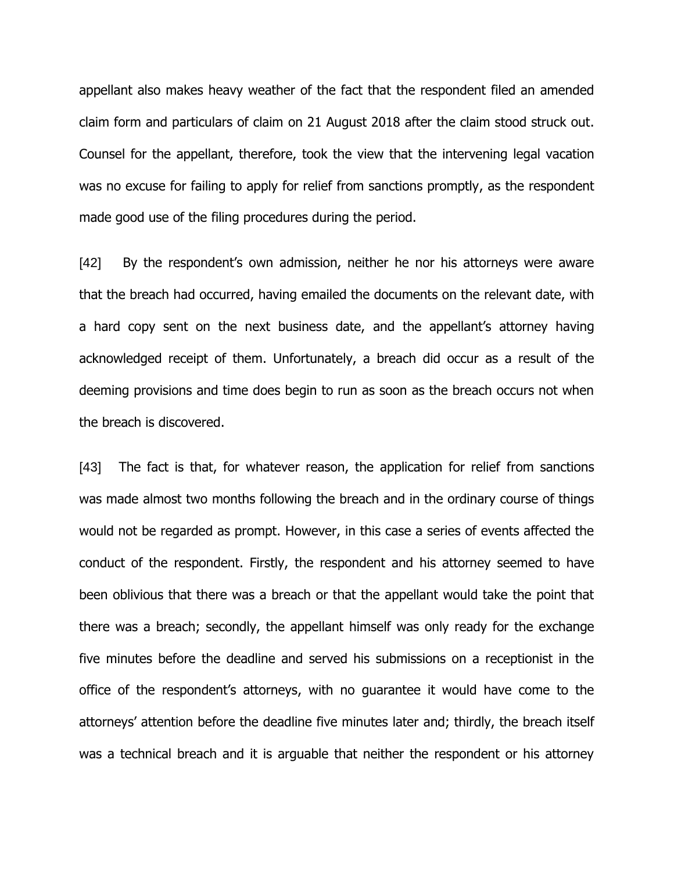appellant also makes heavy weather of the fact that the respondent filed an amended claim form and particulars of claim on 21 August 2018 after the claim stood struck out. Counsel for the appellant, therefore, took the view that the intervening legal vacation was no excuse for failing to apply for relief from sanctions promptly, as the respondent made good use of the filing procedures during the period.

[42] By the respondent's own admission, neither he nor his attorneys were aware that the breach had occurred, having emailed the documents on the relevant date, with a hard copy sent on the next business date, and the appellant's attorney having acknowledged receipt of them. Unfortunately, a breach did occur as a result of the deeming provisions and time does begin to run as soon as the breach occurs not when the breach is discovered.

[43] The fact is that, for whatever reason, the application for relief from sanctions was made almost two months following the breach and in the ordinary course of things would not be regarded as prompt. However, in this case a series of events affected the conduct of the respondent. Firstly, the respondent and his attorney seemed to have been oblivious that there was a breach or that the appellant would take the point that there was a breach; secondly, the appellant himself was only ready for the exchange five minutes before the deadline and served his submissions on a receptionist in the office of the respondent's attorneys, with no guarantee it would have come to the attorneys' attention before the deadline five minutes later and; thirdly, the breach itself was a technical breach and it is arguable that neither the respondent or his attorney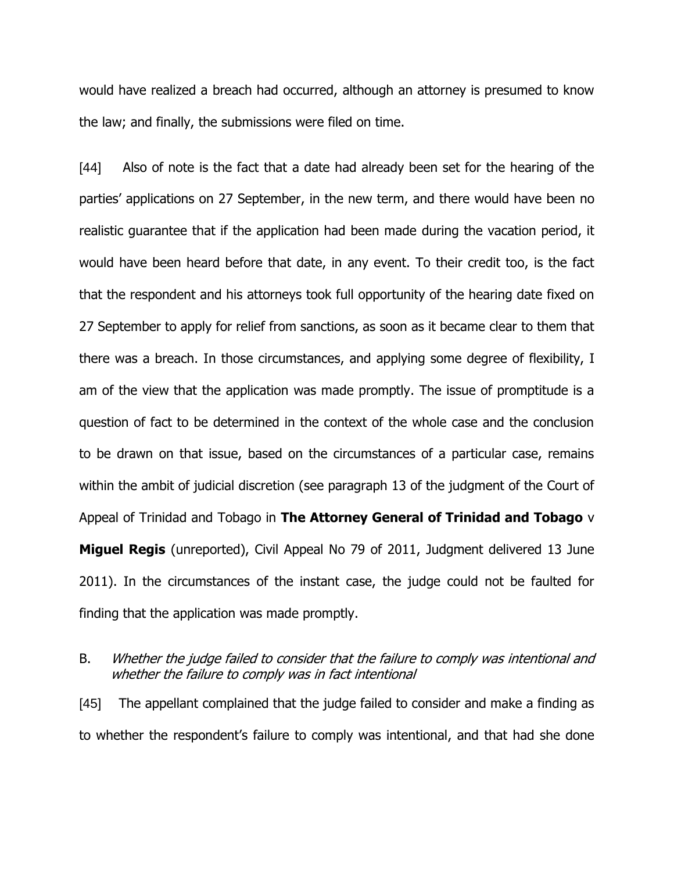would have realized a breach had occurred, although an attorney is presumed to know the law; and finally, the submissions were filed on time.

[44] Also of note is the fact that a date had already been set for the hearing of the parties' applications on 27 September, in the new term, and there would have been no realistic guarantee that if the application had been made during the vacation period, it would have been heard before that date, in any event. To their credit too, is the fact that the respondent and his attorneys took full opportunity of the hearing date fixed on 27 September to apply for relief from sanctions, as soon as it became clear to them that there was a breach. In those circumstances, and applying some degree of flexibility, I am of the view that the application was made promptly. The issue of promptitude is a question of fact to be determined in the context of the whole case and the conclusion to be drawn on that issue, based on the circumstances of a particular case, remains within the ambit of judicial discretion (see paragraph 13 of the judgment of the Court of Appeal of Trinidad and Tobago in **The Attorney General of Trinidad and Tobago** v **Miguel Regis** (unreported), Civil Appeal No 79 of 2011, Judgment delivered 13 June 2011). In the circumstances of the instant case, the judge could not be faulted for finding that the application was made promptly.

## B. Whether the judge failed to consider that the failure to comply was intentional and whether the failure to comply was in fact intentional

[45] The appellant complained that the judge failed to consider and make a finding as to whether the respondent's failure to comply was intentional, and that had she done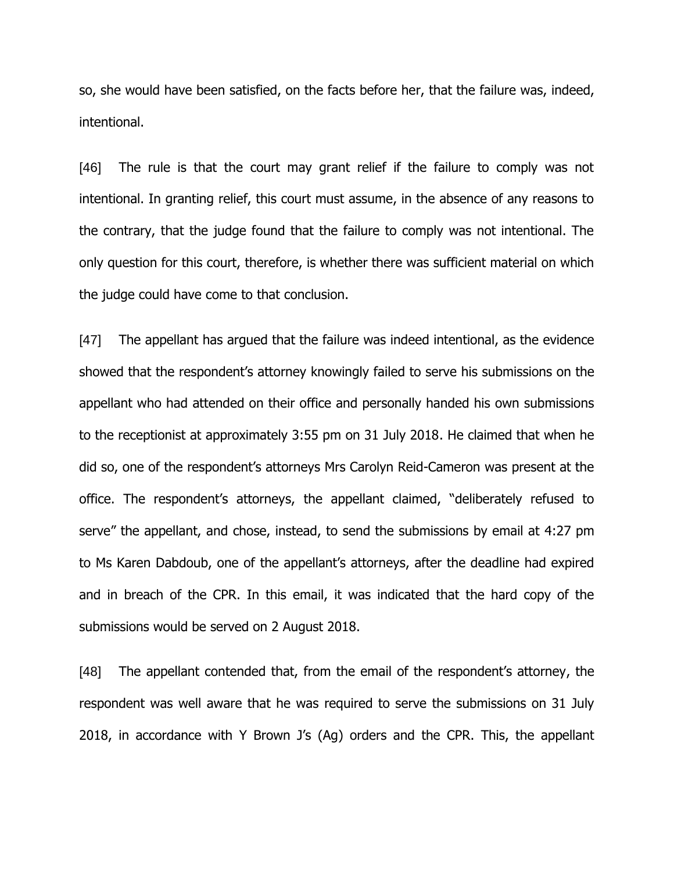so, she would have been satisfied, on the facts before her, that the failure was, indeed, intentional.

[46] The rule is that the court may grant relief if the failure to comply was not intentional. In granting relief, this court must assume, in the absence of any reasons to the contrary, that the judge found that the failure to comply was not intentional. The only question for this court, therefore, is whether there was sufficient material on which the judge could have come to that conclusion.

[47] The appellant has argued that the failure was indeed intentional, as the evidence showed that the respondent's attorney knowingly failed to serve his submissions on the appellant who had attended on their office and personally handed his own submissions to the receptionist at approximately 3:55 pm on 31 July 2018. He claimed that when he did so, one of the respondent's attorneys Mrs Carolyn Reid-Cameron was present at the office. The respondent's attorneys, the appellant claimed, "deliberately refused to serve" the appellant, and chose, instead, to send the submissions by email at 4:27 pm to Ms Karen Dabdoub, one of the appellant's attorneys, after the deadline had expired and in breach of the CPR. In this email, it was indicated that the hard copy of the submissions would be served on 2 August 2018.

[48] The appellant contended that, from the email of the respondent's attorney, the respondent was well aware that he was required to serve the submissions on 31 July 2018, in accordance with Y Brown J's (Ag) orders and the CPR. This, the appellant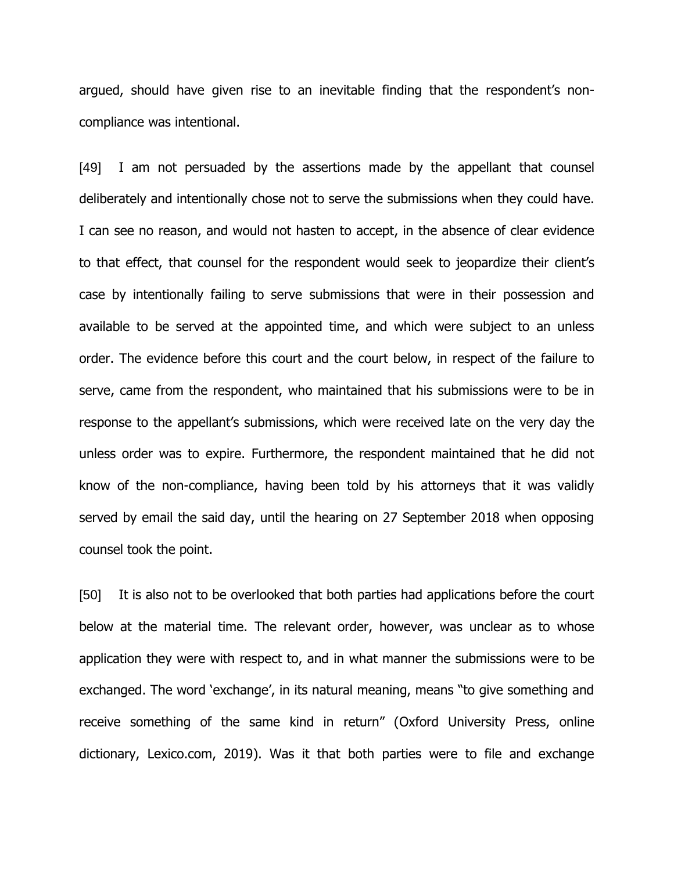argued, should have given rise to an inevitable finding that the respondent's noncompliance was intentional.

[49] I am not persuaded by the assertions made by the appellant that counsel deliberately and intentionally chose not to serve the submissions when they could have. I can see no reason, and would not hasten to accept, in the absence of clear evidence to that effect, that counsel for the respondent would seek to jeopardize their client's case by intentionally failing to serve submissions that were in their possession and available to be served at the appointed time, and which were subject to an unless order. The evidence before this court and the court below, in respect of the failure to serve, came from the respondent, who maintained that his submissions were to be in response to the appellant's submissions, which were received late on the very day the unless order was to expire. Furthermore, the respondent maintained that he did not know of the non-compliance, having been told by his attorneys that it was validly served by email the said day, until the hearing on 27 September 2018 when opposing counsel took the point.

[50] It is also not to be overlooked that both parties had applications before the court below at the material time. The relevant order, however, was unclear as to whose application they were with respect to, and in what manner the submissions were to be exchanged. The word 'exchange', in its natural meaning, means "to give something and receive something of the same kind in return" (Oxford University Press, online dictionary, Lexico.com, 2019). Was it that both parties were to file and exchange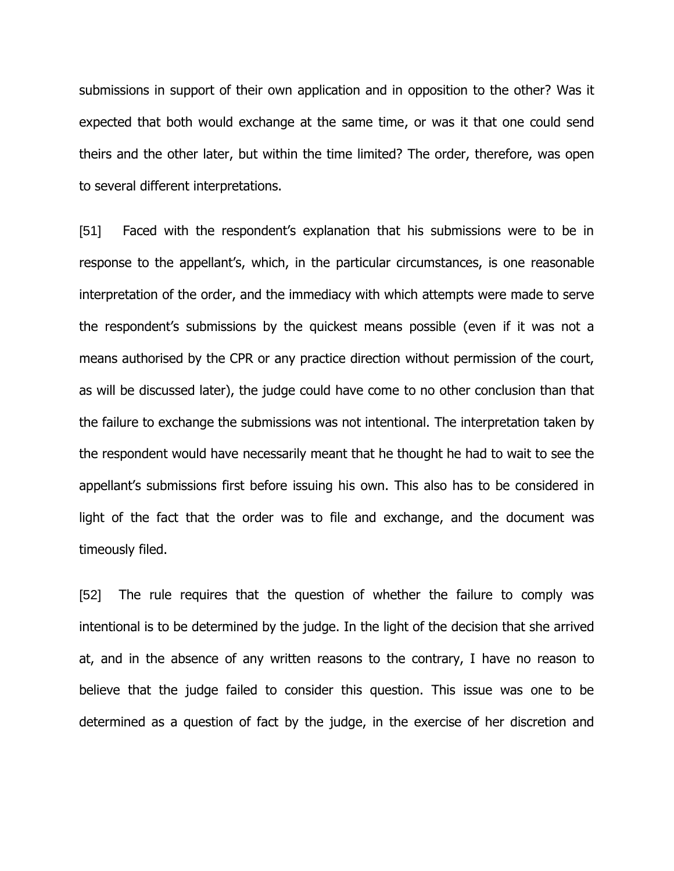submissions in support of their own application and in opposition to the other? Was it expected that both would exchange at the same time, or was it that one could send theirs and the other later, but within the time limited? The order, therefore, was open to several different interpretations.

[51] Faced with the respondent's explanation that his submissions were to be in response to the appellant's, which, in the particular circumstances, is one reasonable interpretation of the order, and the immediacy with which attempts were made to serve the respondent's submissions by the quickest means possible (even if it was not a means authorised by the CPR or any practice direction without permission of the court, as will be discussed later), the judge could have come to no other conclusion than that the failure to exchange the submissions was not intentional. The interpretation taken by the respondent would have necessarily meant that he thought he had to wait to see the appellant's submissions first before issuing his own. This also has to be considered in light of the fact that the order was to file and exchange, and the document was timeously filed.

[52] The rule requires that the question of whether the failure to comply was intentional is to be determined by the judge. In the light of the decision that she arrived at, and in the absence of any written reasons to the contrary, I have no reason to believe that the judge failed to consider this question. This issue was one to be determined as a question of fact by the judge, in the exercise of her discretion and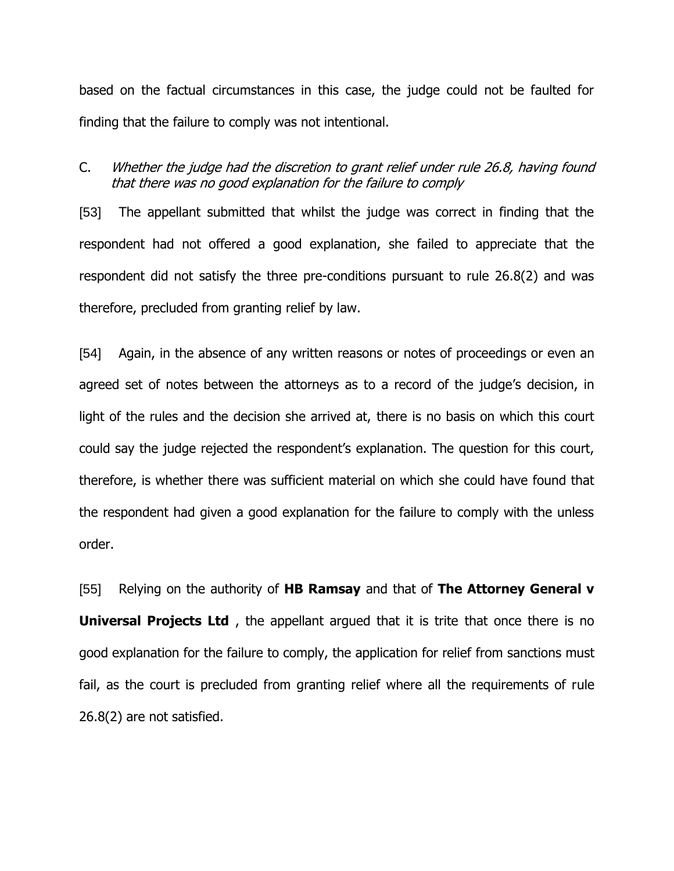based on the factual circumstances in this case, the judge could not be faulted for finding that the failure to comply was not intentional.

# C. Whether the judge had the discretion to grant relief under rule 26.8, having found that there was no good explanation for the failure to comply

[53] The appellant submitted that whilst the judge was correct in finding that the respondent had not offered a good explanation, she failed to appreciate that the respondent did not satisfy the three pre-conditions pursuant to rule 26.8(2) and was therefore, precluded from granting relief by law.

[54] Again, in the absence of any written reasons or notes of proceedings or even an agreed set of notes between the attorneys as to a record of the judge's decision, in light of the rules and the decision she arrived at, there is no basis on which this court could say the judge rejected the respondent's explanation. The question for this court, therefore, is whether there was sufficient material on which she could have found that the respondent had given a good explanation for the failure to comply with the unless order.

[55] Relying on the authority of **HB Ramsay** and that of **The Attorney General v Universal Projects Ltd** , the appellant argued that it is trite that once there is no good explanation for the failure to comply, the application for relief from sanctions must fail, as the court is precluded from granting relief where all the requirements of rule 26.8(2) are not satisfied.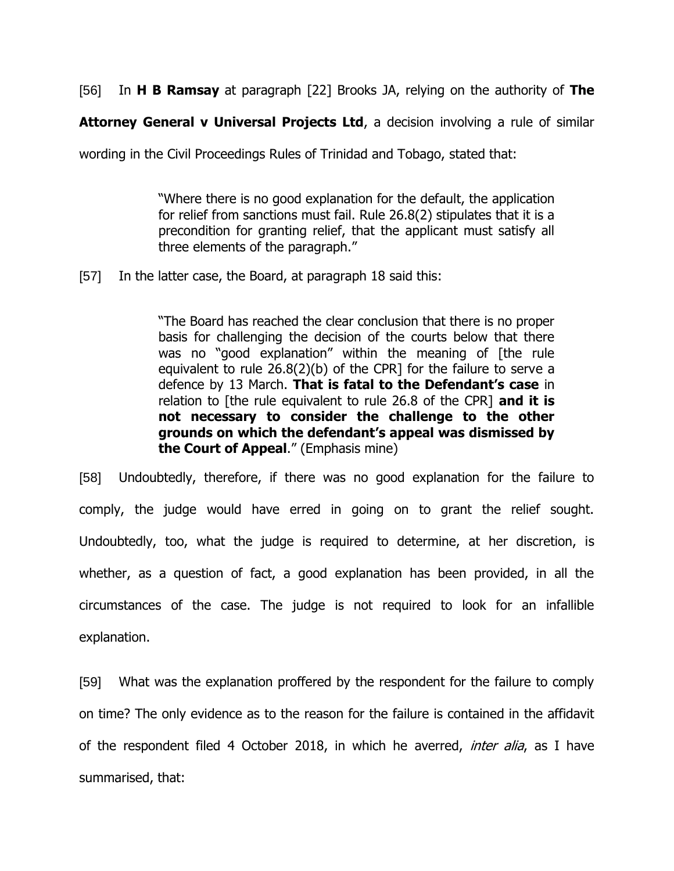[56] In **H B Ramsay** at paragraph [22] Brooks JA, relying on the authority of **The** 

**Attorney General v Universal Projects Ltd**, a decision involving a rule of similar

wording in the Civil Proceedings Rules of Trinidad and Tobago, stated that:

"Where there is no good explanation for the default, the application for relief from sanctions must fail. Rule 26.8(2) stipulates that it is a precondition for granting relief, that the applicant must satisfy all three elements of the paragraph."

[57] In the latter case, the Board, at paragraph 18 said this:

"The Board has reached the clear conclusion that there is no proper basis for challenging the decision of the courts below that there was no "good explanation" within the meaning of [the rule equivalent to rule 26.8(2)(b) of the CPR] for the failure to serve a defence by 13 March. **That is fatal to the Defendant's case** in relation to [the rule equivalent to rule 26.8 of the CPR] **and it is not necessary to consider the challenge to the other grounds on which the defendant's appeal was dismissed by the Court of Appeal**." (Emphasis mine)

[58] Undoubtedly, therefore, if there was no good explanation for the failure to comply, the judge would have erred in going on to grant the relief sought. Undoubtedly, too, what the judge is required to determine, at her discretion, is whether, as a question of fact, a good explanation has been provided, in all the circumstances of the case. The judge is not required to look for an infallible explanation.

[59] What was the explanation proffered by the respondent for the failure to comply on time? The only evidence as to the reason for the failure is contained in the affidavit of the respondent filed 4 October 2018, in which he averred, *inter alia*, as I have summarised, that: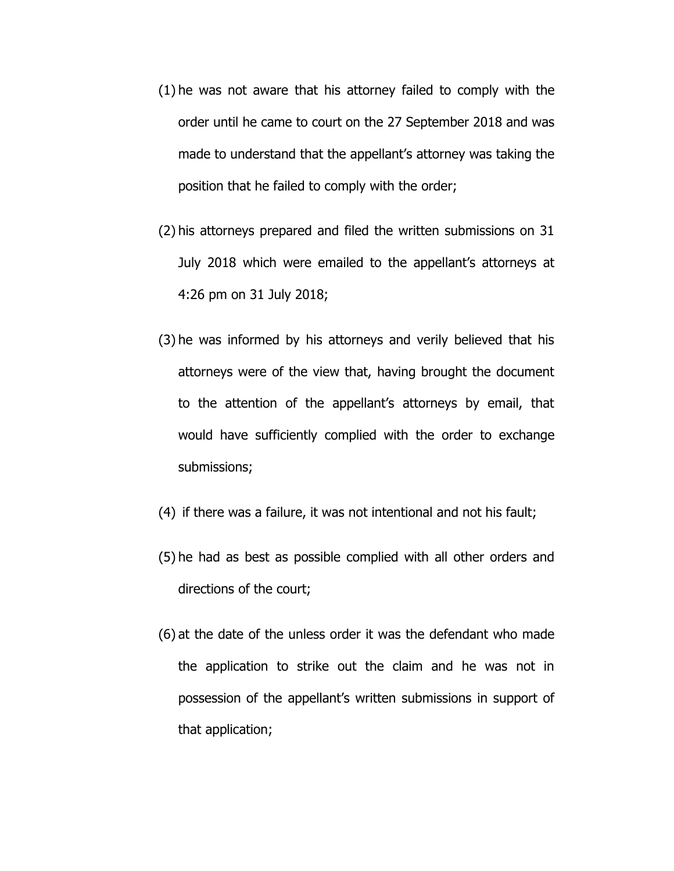- (1) he was not aware that his attorney failed to comply with the order until he came to court on the 27 September 2018 and was made to understand that the appellant's attorney was taking the position that he failed to comply with the order;
- (2) his attorneys prepared and filed the written submissions on 31 July 2018 which were emailed to the appellant's attorneys at 4:26 pm on 31 July 2018;
- (3) he was informed by his attorneys and verily believed that his attorneys were of the view that, having brought the document to the attention of the appellant's attorneys by email, that would have sufficiently complied with the order to exchange submissions;
- (4) if there was a failure, it was not intentional and not his fault;
- (5) he had as best as possible complied with all other orders and directions of the court;
- (6) at the date of the unless order it was the defendant who made the application to strike out the claim and he was not in possession of the appellant's written submissions in support of that application;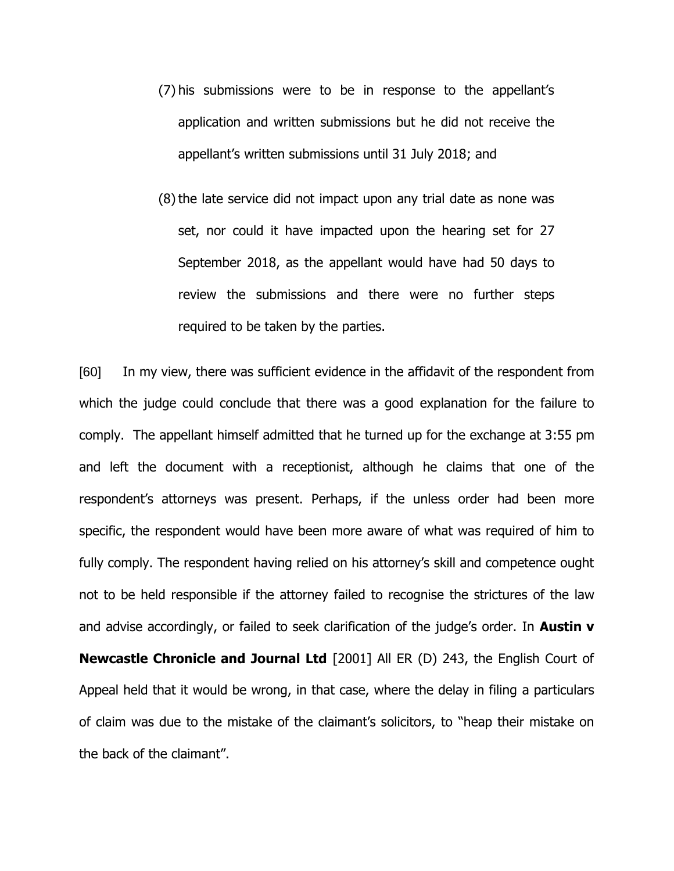- (7) his submissions were to be in response to the appellant's application and written submissions but he did not receive the appellant's written submissions until 31 July 2018; and
- (8) the late service did not impact upon any trial date as none was set, nor could it have impacted upon the hearing set for 27 September 2018, as the appellant would have had 50 days to review the submissions and there were no further steps required to be taken by the parties.

[60] In my view, there was sufficient evidence in the affidavit of the respondent from which the judge could conclude that there was a good explanation for the failure to comply. The appellant himself admitted that he turned up for the exchange at 3:55 pm and left the document with a receptionist, although he claims that one of the respondent's attorneys was present. Perhaps, if the unless order had been more specific, the respondent would have been more aware of what was required of him to fully comply. The respondent having relied on his attorney's skill and competence ought not to be held responsible if the attorney failed to recognise the strictures of the law and advise accordingly, or failed to seek clarification of the judge's order. In **Austin v Newcastle Chronicle and Journal Ltd** [2001] All ER (D) 243, the English Court of Appeal held that it would be wrong, in that case, where the delay in filing a particulars of claim was due to the mistake of the claimant's solicitors, to "heap their mistake on the back of the claimant".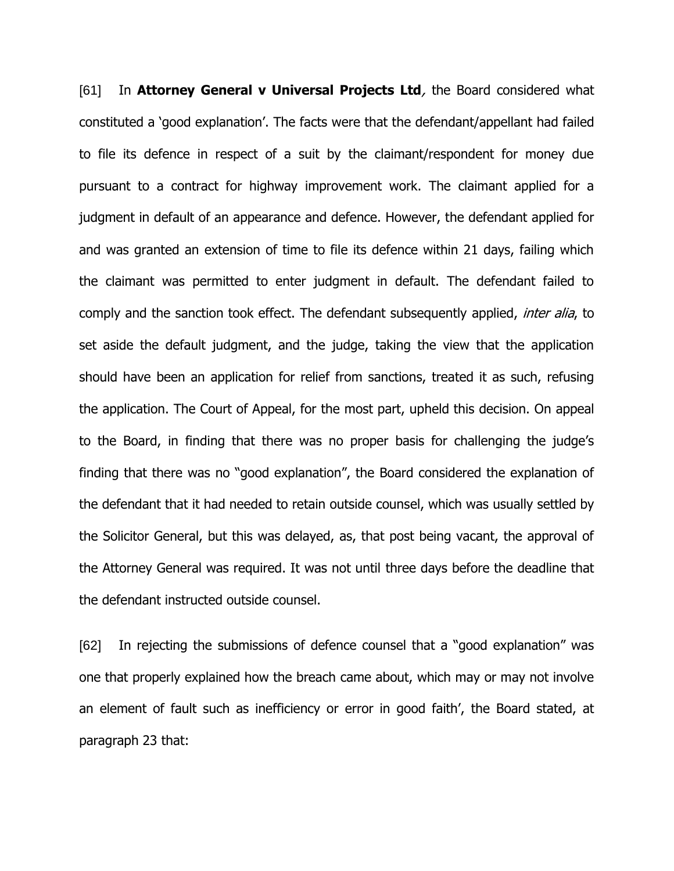[61] In **Attorney General v Universal Projects Ltd**, the Board considered what constituted a 'good explanation'. The facts were that the defendant/appellant had failed to file its defence in respect of a suit by the claimant/respondent for money due pursuant to a contract for highway improvement work. The claimant applied for a judgment in default of an appearance and defence. However, the defendant applied for and was granted an extension of time to file its defence within 21 days, failing which the claimant was permitted to enter judgment in default. The defendant failed to comply and the sanction took effect. The defendant subsequently applied, *inter alia*, to set aside the default judgment, and the judge, taking the view that the application should have been an application for relief from sanctions, treated it as such, refusing the application. The Court of Appeal, for the most part, upheld this decision. On appeal to the Board, in finding that there was no proper basis for challenging the judge's finding that there was no "good explanation", the Board considered the explanation of the defendant that it had needed to retain outside counsel, which was usually settled by the Solicitor General, but this was delayed, as, that post being vacant, the approval of the Attorney General was required. It was not until three days before the deadline that the defendant instructed outside counsel.

[62] In rejecting the submissions of defence counsel that a "good explanation" was one that properly explained how the breach came about, which may or may not involve an element of fault such as inefficiency or error in good faith', the Board stated, at paragraph 23 that: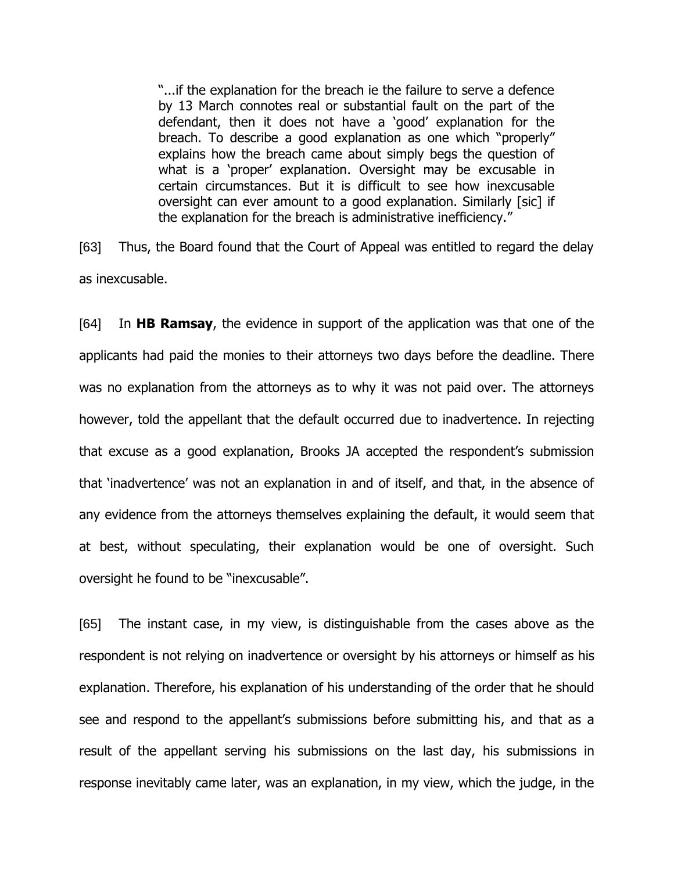"...if the explanation for the breach ie the failure to serve a defence by 13 March connotes real or substantial fault on the part of the defendant, then it does not have a 'good' explanation for the breach. To describe a good explanation as one which "properly" explains how the breach came about simply begs the question of what is a 'proper' explanation. Oversight may be excusable in certain circumstances. But it is difficult to see how inexcusable oversight can ever amount to a good explanation. Similarly [sic] if the explanation for the breach is administrative inefficiency."

[63] Thus, the Board found that the Court of Appeal was entitled to regard the delay as inexcusable.

[64] In **HB Ramsay**, the evidence in support of the application was that one of the applicants had paid the monies to their attorneys two days before the deadline. There was no explanation from the attorneys as to why it was not paid over. The attorneys however, told the appellant that the default occurred due to inadvertence. In rejecting that excuse as a good explanation, Brooks JA accepted the respondent's submission that 'inadvertence' was not an explanation in and of itself, and that, in the absence of any evidence from the attorneys themselves explaining the default, it would seem that at best, without speculating, their explanation would be one of oversight. Such oversight he found to be "inexcusable".

[65] The instant case, in my view, is distinguishable from the cases above as the respondent is not relying on inadvertence or oversight by his attorneys or himself as his explanation. Therefore, his explanation of his understanding of the order that he should see and respond to the appellant's submissions before submitting his, and that as a result of the appellant serving his submissions on the last day, his submissions in response inevitably came later, was an explanation, in my view, which the judge, in the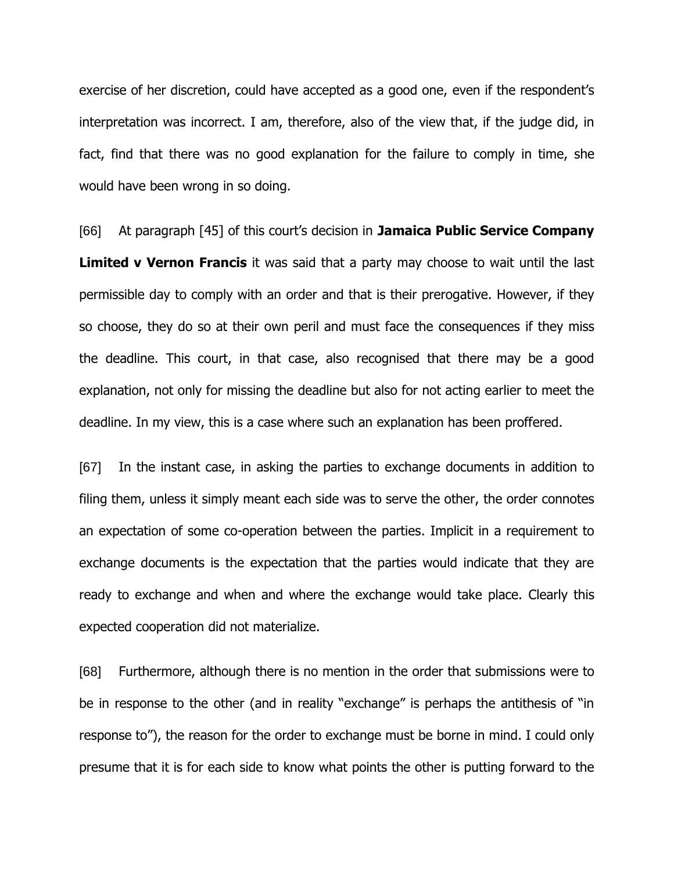exercise of her discretion, could have accepted as a good one, even if the respondent's interpretation was incorrect. I am, therefore, also of the view that, if the judge did, in fact, find that there was no good explanation for the failure to comply in time, she would have been wrong in so doing.

[66] At paragraph [45] of this court's decision in **Jamaica Public Service Company Limited v Vernon Francis** it was said that a party may choose to wait until the last permissible day to comply with an order and that is their prerogative. However, if they so choose, they do so at their own peril and must face the consequences if they miss the deadline. This court, in that case, also recognised that there may be a good explanation, not only for missing the deadline but also for not acting earlier to meet the deadline. In my view, this is a case where such an explanation has been proffered.

[67] In the instant case, in asking the parties to exchange documents in addition to filing them, unless it simply meant each side was to serve the other, the order connotes an expectation of some co-operation between the parties. Implicit in a requirement to exchange documents is the expectation that the parties would indicate that they are ready to exchange and when and where the exchange would take place. Clearly this expected cooperation did not materialize.

[68] Furthermore, although there is no mention in the order that submissions were to be in response to the other (and in reality "exchange" is perhaps the antithesis of "in response to"), the reason for the order to exchange must be borne in mind. I could only presume that it is for each side to know what points the other is putting forward to the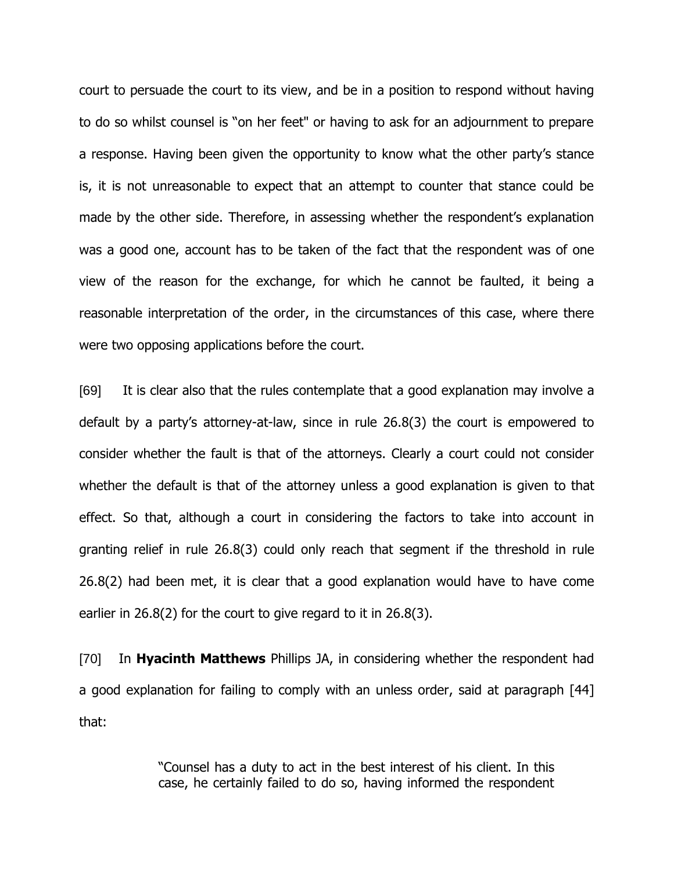court to persuade the court to its view, and be in a position to respond without having to do so whilst counsel is "on her feet" or having to ask for an adjournment to prepare a response. Having been given the opportunity to know what the other party's stance is, it is not unreasonable to expect that an attempt to counter that stance could be made by the other side. Therefore, in assessing whether the respondent's explanation was a good one, account has to be taken of the fact that the respondent was of one view of the reason for the exchange, for which he cannot be faulted, it being a reasonable interpretation of the order, in the circumstances of this case, where there were two opposing applications before the court.

[69] It is clear also that the rules contemplate that a good explanation may involve a default by a party's attorney-at-law, since in rule 26.8(3) the court is empowered to consider whether the fault is that of the attorneys. Clearly a court could not consider whether the default is that of the attorney unless a good explanation is given to that effect. So that, although a court in considering the factors to take into account in granting relief in rule 26.8(3) could only reach that segment if the threshold in rule 26.8(2) had been met, it is clear that a good explanation would have to have come earlier in 26.8(2) for the court to give regard to it in 26.8(3).

[70] In **Hyacinth Matthews** Phillips JA, in considering whether the respondent had a good explanation for failing to comply with an unless order, said at paragraph [44] that:

> "Counsel has a duty to act in the best interest of his client. In this case, he certainly failed to do so, having informed the respondent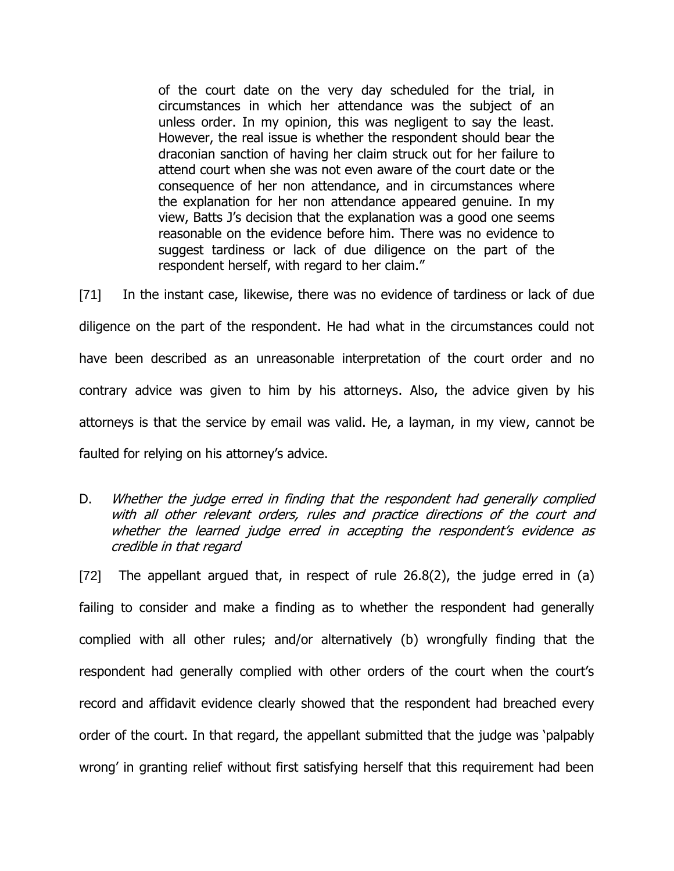of the court date on the very day scheduled for the trial, in circumstances in which her attendance was the subject of an unless order. In my opinion, this was negligent to say the least. However, the real issue is whether the respondent should bear the draconian sanction of having her claim struck out for her failure to attend court when she was not even aware of the court date or the consequence of her non attendance, and in circumstances where the explanation for her non attendance appeared genuine. In my view, Batts J's decision that the explanation was a good one seems reasonable on the evidence before him. There was no evidence to suggest tardiness or lack of due diligence on the part of the respondent herself, with regard to her claim."

[71] In the instant case, likewise, there was no evidence of tardiness or lack of due diligence on the part of the respondent. He had what in the circumstances could not have been described as an unreasonable interpretation of the court order and no contrary advice was given to him by his attorneys. Also, the advice given by his attorneys is that the service by email was valid. He, a layman, in my view, cannot be faulted for relying on his attorney's advice.

D. Whether the judge erred in finding that the respondent had generally complied with all other relevant orders, rules and practice directions of the court and whether the learned judge erred in accepting the respondent's evidence as credible in that regard

[72] The appellant argued that, in respect of rule 26.8(2), the judge erred in (a) failing to consider and make a finding as to whether the respondent had generally complied with all other rules; and/or alternatively (b) wrongfully finding that the respondent had generally complied with other orders of the court when the court's record and affidavit evidence clearly showed that the respondent had breached every order of the court. In that regard, the appellant submitted that the judge was 'palpably wrong' in granting relief without first satisfying herself that this requirement had been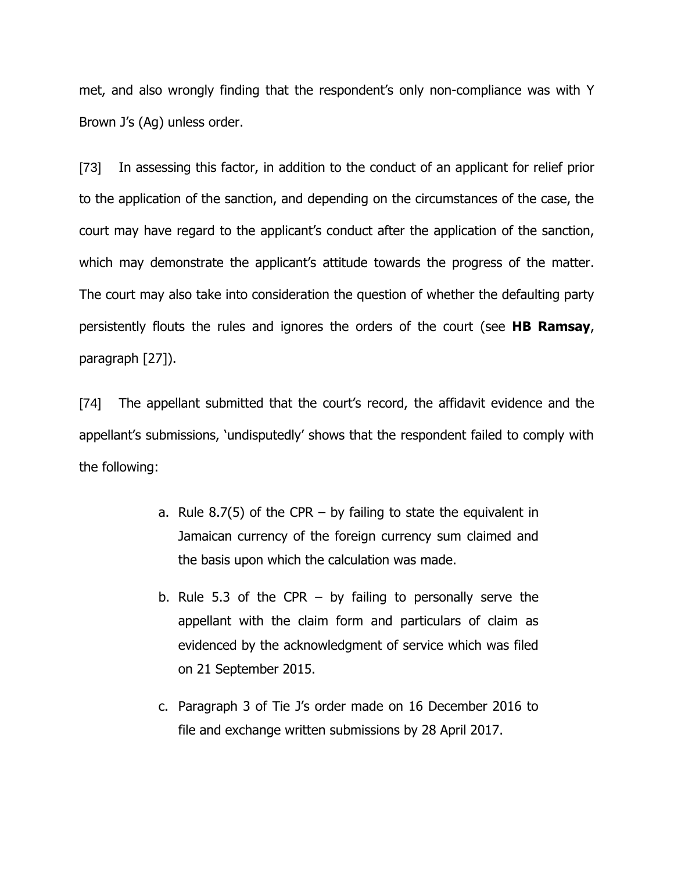met, and also wrongly finding that the respondent's only non-compliance was with Y Brown J's (Ag) unless order.

[73] In assessing this factor, in addition to the conduct of an applicant for relief prior to the application of the sanction, and depending on the circumstances of the case, the court may have regard to the applicant's conduct after the application of the sanction, which may demonstrate the applicant's attitude towards the progress of the matter. The court may also take into consideration the question of whether the defaulting party persistently flouts the rules and ignores the orders of the court (see **HB Ramsay**, paragraph [27]).

[74] The appellant submitted that the court's record, the affidavit evidence and the appellant's submissions, 'undisputedly' shows that the respondent failed to comply with the following:

- a. Rule 8.7(5) of the CPR  $-$  by failing to state the equivalent in Jamaican currency of the foreign currency sum claimed and the basis upon which the calculation was made.
- b. Rule 5.3 of the CPR by failing to personally serve the appellant with the claim form and particulars of claim as evidenced by the acknowledgment of service which was filed on 21 September 2015.
- c. Paragraph 3 of Tie J's order made on 16 December 2016 to file and exchange written submissions by 28 April 2017.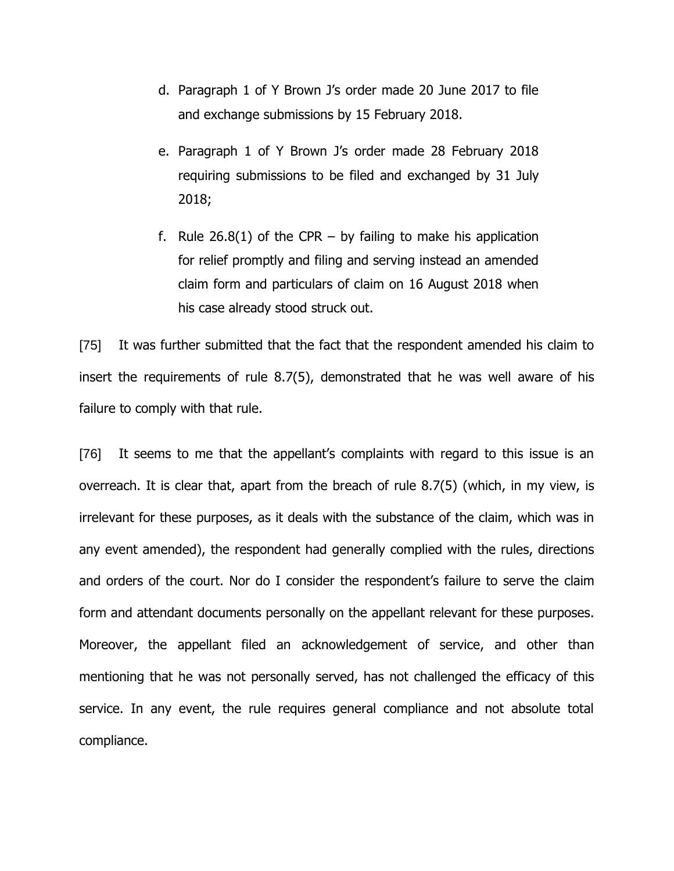- d. Paragraph 1 of Y Brown J's order made 20 June 2017 to file and exchange submissions by 15 February 2018.
- e. Paragraph 1 of Y Brown J's order made 28 February 2018 requiring submissions to be filed and exchanged by 31 July 2018;
- f. Rule  $26.8(1)$  of the CPR by failing to make his application for relief promptly and filing and serving instead an amended claim form and particulars of claim on 16 August 2018 when his case already stood struck out.

[75] It was further submitted that the fact that the respondent amended his claim to insert the requirements of rule 8.7(5), demonstrated that he was well aware of his failure to comply with that rule.

[76] It seems to me that the appellant's complaints with regard to this issue is an overreach. It is clear that, apart from the breach of rule 8.7(5) (which, in my view, is irrelevant for these purposes, as it deals with the substance of the claim, which was in any event amended), the respondent had generally complied with the rules, directions and orders of the court. Nor do I consider the respondent's failure to serve the claim form and attendant documents personally on the appellant relevant for these purposes. Moreover, the appellant filed an acknowledgement of service, and other than mentioning that he was not personally served, has not challenged the efficacy of this service. In any event, the rule requires general compliance and not absolute total compliance.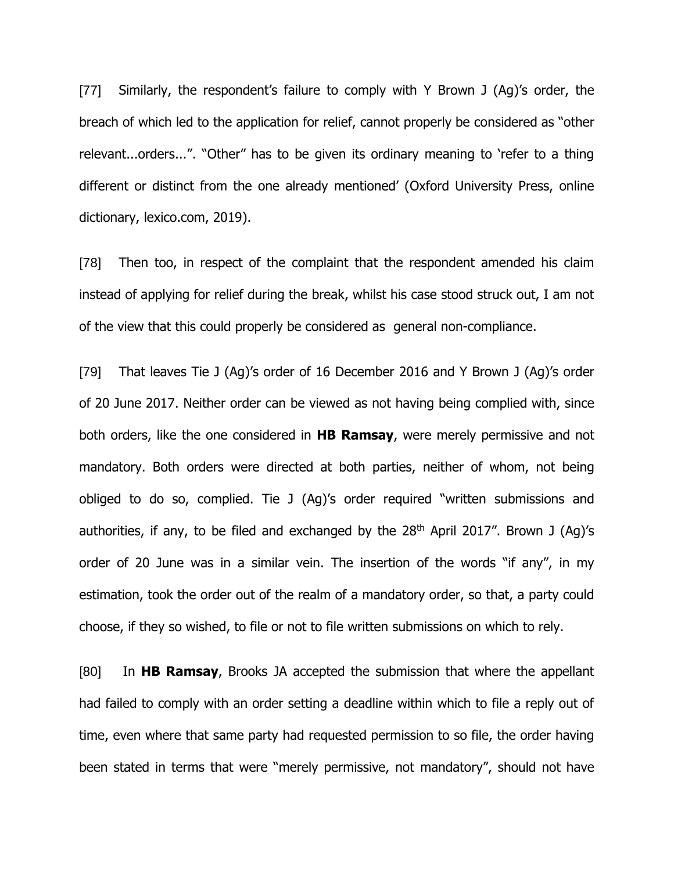[77] Similarly, the respondent's failure to comply with Y Brown J (Ag)'s order, the breach of which led to the application for relief, cannot properly be considered as "other relevant...orders...". "Other" has to be given its ordinary meaning to 'refer to a thing different or distinct from the one already mentioned' (Oxford University Press, online dictionary, lexico.com, 2019).

[78] Then too, in respect of the complaint that the respondent amended his claim instead of applying for relief during the break, whilst his case stood struck out, I am not of the view that this could properly be considered as general non-compliance.

[79] That leaves Tie J (Ag)'s order of 16 December 2016 and Y Brown J (Ag)'s order of 20 June 2017. Neither order can be viewed as not having being complied with, since both orders, like the one considered in **HB Ramsay**, were merely permissive and not mandatory. Both orders were directed at both parties, neither of whom, not being obliged to do so, complied. Tie J (Ag)'s order required "written submissions and authorities, if any, to be filed and exchanged by the  $28<sup>th</sup>$  April 2017". Brown J (Ag)'s order of 20 June was in a similar vein. The insertion of the words "if any", in my estimation, took the order out of the realm of a mandatory order, so that, a party could choose, if they so wished, to file or not to file written submissions on which to rely.

[80] In **HB Ramsay**, Brooks JA accepted the submission that where the appellant had failed to comply with an order setting a deadline within which to file a reply out of time, even where that same party had requested permission to so file, the order having been stated in terms that were "merely permissive, not mandatory", should not have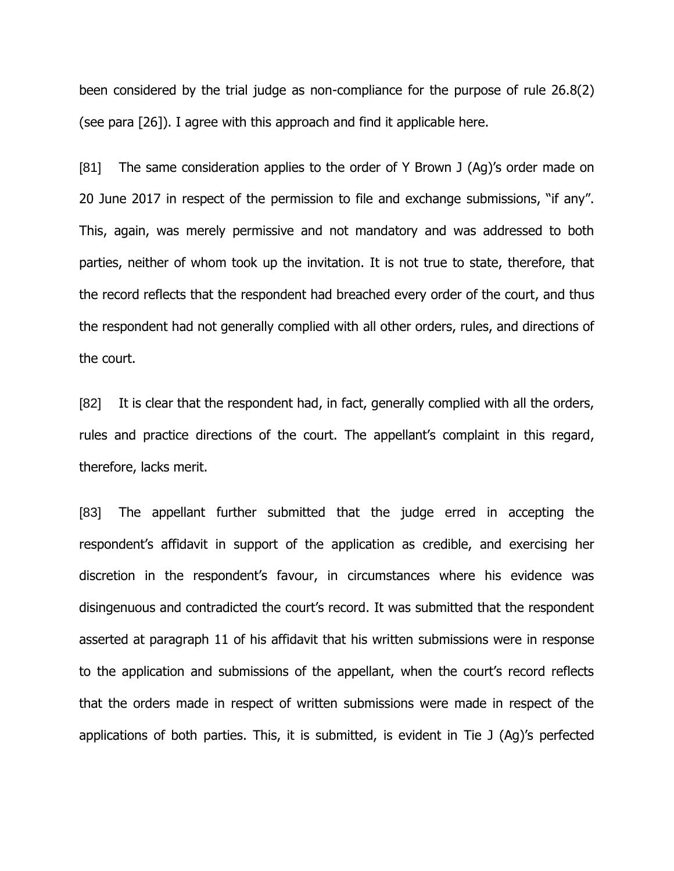been considered by the trial judge as non-compliance for the purpose of rule 26.8(2) (see para [26]). I agree with this approach and find it applicable here.

[81] The same consideration applies to the order of Y Brown J (Ag)'s order made on 20 June 2017 in respect of the permission to file and exchange submissions, "if any". This, again, was merely permissive and not mandatory and was addressed to both parties, neither of whom took up the invitation. It is not true to state, therefore, that the record reflects that the respondent had breached every order of the court, and thus the respondent had not generally complied with all other orders, rules, and directions of the court.

[82] It is clear that the respondent had, in fact, generally complied with all the orders, rules and practice directions of the court. The appellant's complaint in this regard, therefore, lacks merit.

[83] The appellant further submitted that the judge erred in accepting the respondent's affidavit in support of the application as credible, and exercising her discretion in the respondent's favour, in circumstances where his evidence was disingenuous and contradicted the court's record. It was submitted that the respondent asserted at paragraph 11 of his affidavit that his written submissions were in response to the application and submissions of the appellant, when the court's record reflects that the orders made in respect of written submissions were made in respect of the applications of both parties. This, it is submitted, is evident in Tie J (Ag)'s perfected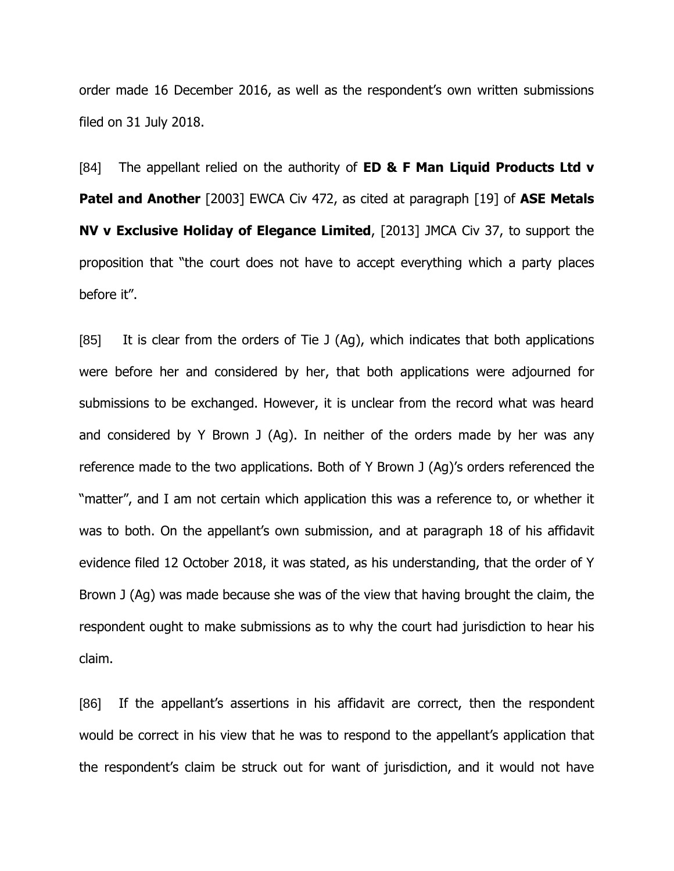order made 16 December 2016, as well as the respondent's own written submissions filed on 31 July 2018.

[84] The appellant relied on the authority of **ED & F Man Liquid Products Ltd v Patel and Another** [2003] EWCA Civ 472, as cited at paragraph [19] of **ASE Metals NV v Exclusive Holiday of Elegance Limited**, [2013] JMCA Civ 37, to support the proposition that "the court does not have to accept everything which a party places before it".

[85] It is clear from the orders of Tie J (Ag), which indicates that both applications were before her and considered by her, that both applications were adjourned for submissions to be exchanged. However, it is unclear from the record what was heard and considered by Y Brown J (Ag). In neither of the orders made by her was any reference made to the two applications. Both of Y Brown J (Ag)'s orders referenced the "matter", and I am not certain which application this was a reference to, or whether it was to both. On the appellant's own submission, and at paragraph 18 of his affidavit evidence filed 12 October 2018, it was stated, as his understanding, that the order of Y Brown J (Ag) was made because she was of the view that having brought the claim, the respondent ought to make submissions as to why the court had jurisdiction to hear his claim.

[86] If the appellant's assertions in his affidavit are correct, then the respondent would be correct in his view that he was to respond to the appellant's application that the respondent's claim be struck out for want of jurisdiction, and it would not have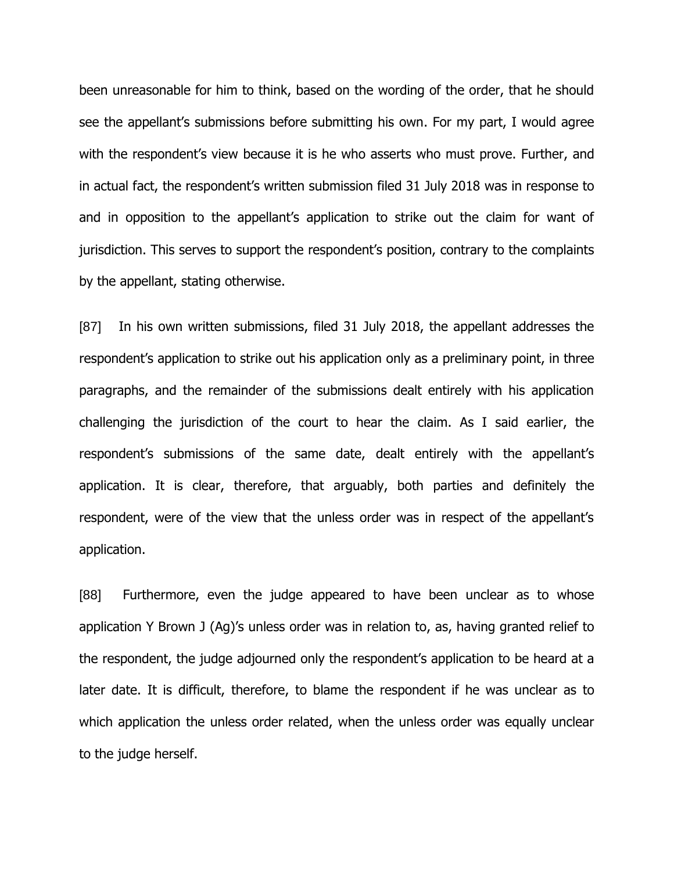been unreasonable for him to think, based on the wording of the order, that he should see the appellant's submissions before submitting his own. For my part, I would agree with the respondent's view because it is he who asserts who must prove. Further, and in actual fact, the respondent's written submission filed 31 July 2018 was in response to and in opposition to the appellant's application to strike out the claim for want of jurisdiction. This serves to support the respondent's position, contrary to the complaints by the appellant, stating otherwise.

[87] In his own written submissions, filed 31 July 2018, the appellant addresses the respondent's application to strike out his application only as a preliminary point, in three paragraphs, and the remainder of the submissions dealt entirely with his application challenging the jurisdiction of the court to hear the claim. As I said earlier, the respondent's submissions of the same date, dealt entirely with the appellant's application. It is clear, therefore, that arguably, both parties and definitely the respondent, were of the view that the unless order was in respect of the appellant's application.

[88] Furthermore, even the judge appeared to have been unclear as to whose application Y Brown J (Ag)'s unless order was in relation to, as, having granted relief to the respondent, the judge adjourned only the respondent's application to be heard at a later date. It is difficult, therefore, to blame the respondent if he was unclear as to which application the unless order related, when the unless order was equally unclear to the judge herself.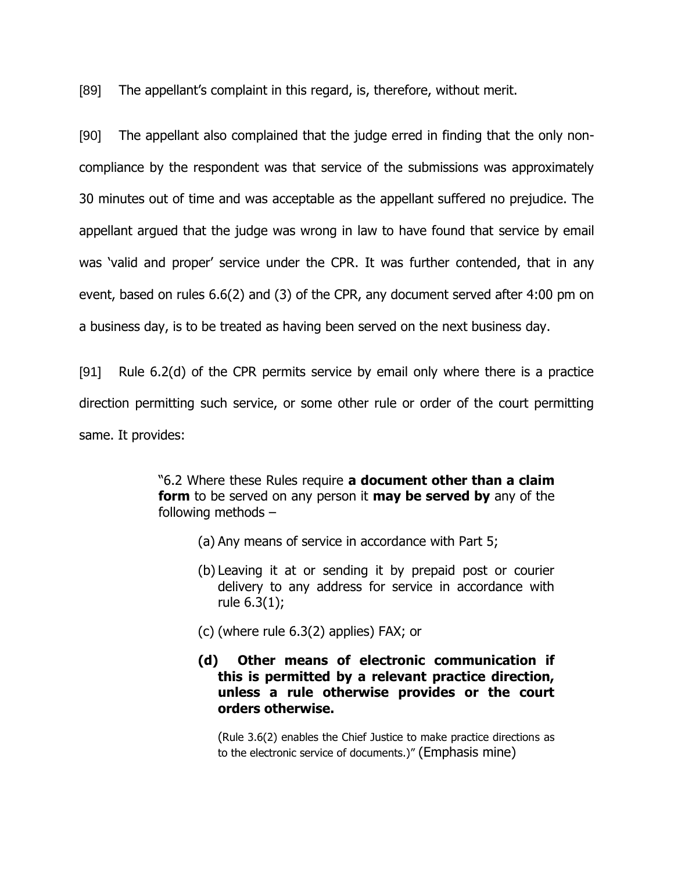[89] The appellant's complaint in this regard, is, therefore, without merit.

[90] The appellant also complained that the judge erred in finding that the only noncompliance by the respondent was that service of the submissions was approximately 30 minutes out of time and was acceptable as the appellant suffered no prejudice. The appellant argued that the judge was wrong in law to have found that service by email was 'valid and proper' service under the CPR. It was further contended, that in any event, based on rules 6.6(2) and (3) of the CPR, any document served after 4:00 pm on a business day, is to be treated as having been served on the next business day.

[91] Rule 6.2(d) of the CPR permits service by email only where there is a practice direction permitting such service, or some other rule or order of the court permitting same. It provides:

> "6.2 Where these Rules require **a document other than a claim form** to be served on any person it **may be served by** any of the following methods –

- (a) Any means of service in accordance with Part 5;
- (b) Leaving it at or sending it by prepaid post or courier delivery to any address for service in accordance with rule 6.3(1);
- (c) (where rule 6.3(2) applies) FAX; or
- **(d) Other means of electronic communication if this is permitted by a relevant practice direction, unless a rule otherwise provides or the court orders otherwise.**

(Rule 3.6(2) enables the Chief Justice to make practice directions as to the electronic service of documents.)" (Emphasis mine)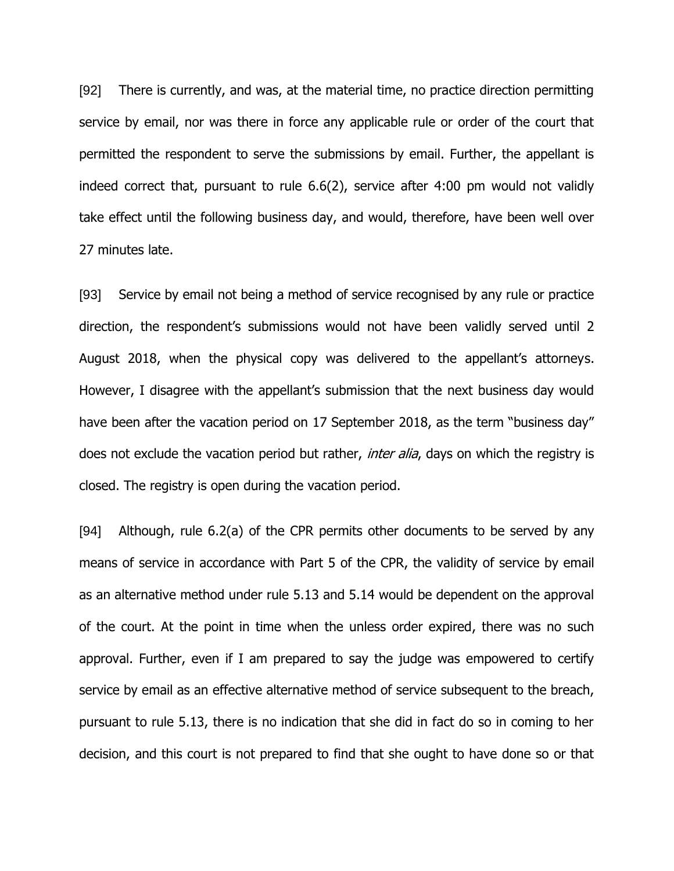[92] There is currently, and was, at the material time, no practice direction permitting service by email, nor was there in force any applicable rule or order of the court that permitted the respondent to serve the submissions by email. Further, the appellant is indeed correct that, pursuant to rule 6.6(2), service after 4:00 pm would not validly take effect until the following business day, and would, therefore, have been well over 27 minutes late.

[93] Service by email not being a method of service recognised by any rule or practice direction, the respondent's submissions would not have been validly served until 2 August 2018, when the physical copy was delivered to the appellant's attorneys. However, I disagree with the appellant's submission that the next business day would have been after the vacation period on 17 September 2018, as the term "business day" does not exclude the vacation period but rather, *inter alia*, days on which the registry is closed. The registry is open during the vacation period.

[94] Although, rule 6.2(a) of the CPR permits other documents to be served by any means of service in accordance with Part 5 of the CPR, the validity of service by email as an alternative method under rule 5.13 and 5.14 would be dependent on the approval of the court. At the point in time when the unless order expired, there was no such approval. Further, even if I am prepared to say the judge was empowered to certify service by email as an effective alternative method of service subsequent to the breach, pursuant to rule 5.13, there is no indication that she did in fact do so in coming to her decision, and this court is not prepared to find that she ought to have done so or that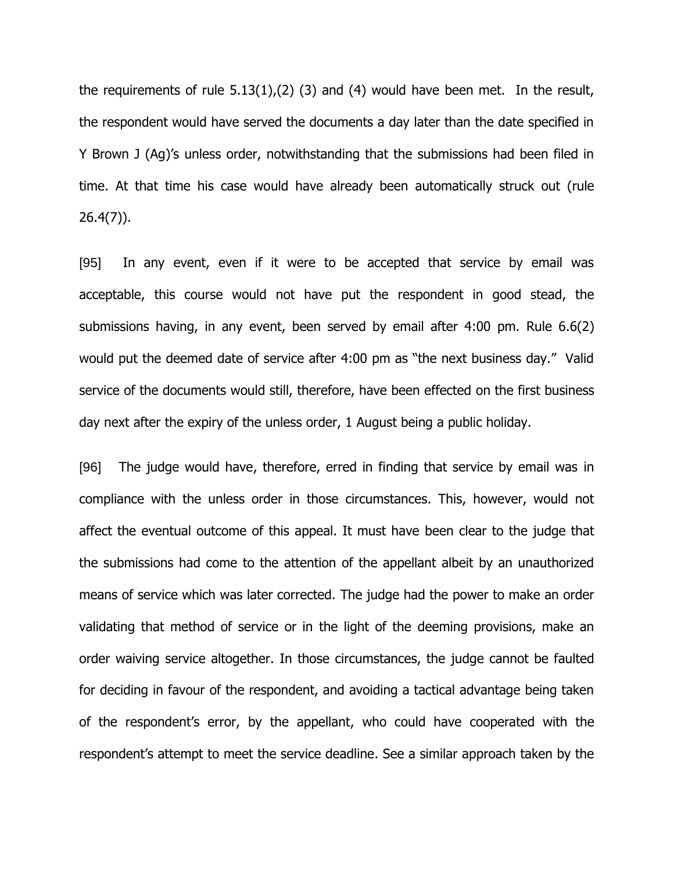the requirements of rule  $5.13(1)$ ,  $(2)$   $(3)$  and  $(4)$  would have been met. In the result, the respondent would have served the documents a day later than the date specified in Y Brown J (Ag)'s unless order, notwithstanding that the submissions had been filed in time. At that time his case would have already been automatically struck out (rule 26.4(7)).

[95] In any event, even if it were to be accepted that service by email was acceptable, this course would not have put the respondent in good stead, the submissions having, in any event, been served by email after 4:00 pm. Rule 6.6(2) would put the deemed date of service after 4:00 pm as "the next business day." Valid service of the documents would still, therefore, have been effected on the first business day next after the expiry of the unless order, 1 August being a public holiday.

[96] The judge would have, therefore, erred in finding that service by email was in compliance with the unless order in those circumstances. This, however, would not affect the eventual outcome of this appeal. It must have been clear to the judge that the submissions had come to the attention of the appellant albeit by an unauthorized means of service which was later corrected. The judge had the power to make an order validating that method of service or in the light of the deeming provisions, make an order waiving service altogether. In those circumstances, the judge cannot be faulted for deciding in favour of the respondent, and avoiding a tactical advantage being taken of the respondent's error, by the appellant, who could have cooperated with the respondent's attempt to meet the service deadline. See a similar approach taken by the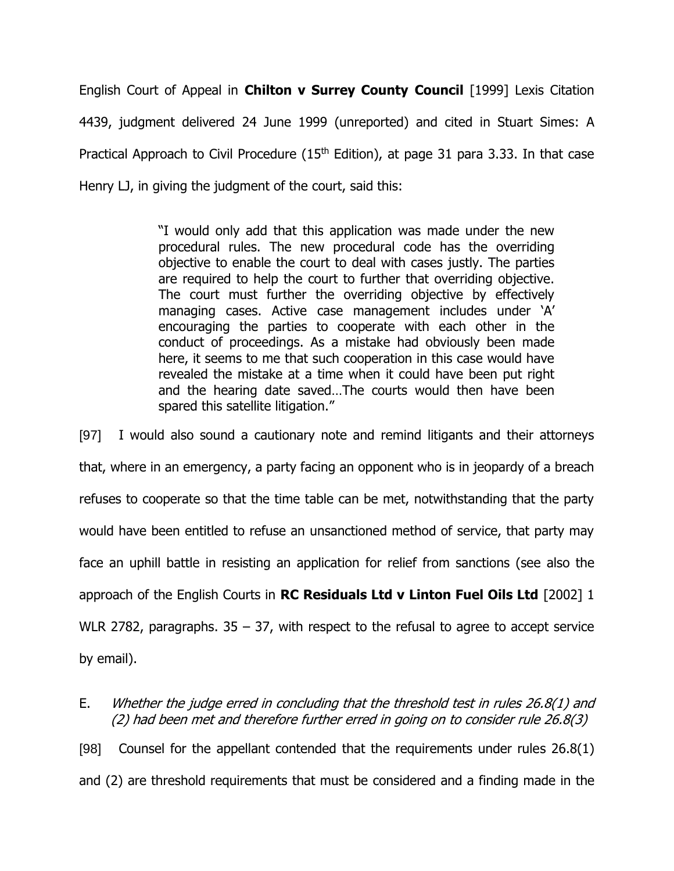English Court of Appeal in **Chilton v Surrey County Council** [1999] Lexis Citation 4439, judgment delivered 24 June 1999 (unreported) and cited in Stuart Simes: A Practical Approach to Civil Procedure ( $15<sup>th</sup>$  Edition), at page 31 para 3.33. In that case Henry LJ, in giving the judgment of the court, said this:

> "I would only add that this application was made under the new procedural rules. The new procedural code has the overriding objective to enable the court to deal with cases justly. The parties are required to help the court to further that overriding objective. The court must further the overriding objective by effectively managing cases. Active case management includes under 'A' encouraging the parties to cooperate with each other in the conduct of proceedings. As a mistake had obviously been made here, it seems to me that such cooperation in this case would have revealed the mistake at a time when it could have been put right and the hearing date saved…The courts would then have been spared this satellite litigation."

[97] I would also sound a cautionary note and remind litigants and their attorneys that, where in an emergency, a party facing an opponent who is in jeopardy of a breach refuses to cooperate so that the time table can be met, notwithstanding that the party would have been entitled to refuse an unsanctioned method of service, that party may face an uphill battle in resisting an application for relief from sanctions (see also the approach of the English Courts in **RC Residuals Ltd v Linton Fuel Oils Ltd** [2002] 1 WLR 2782, paragraphs.  $35 - 37$ , with respect to the refusal to agree to accept service by email).

E. Whether the judge erred in concluding that the threshold test in rules 26.8(1) and (2) had been met and therefore further erred in going on to consider rule 26.8(3) [98] Counsel for the appellant contended that the requirements under rules 26.8(1)

and (2) are threshold requirements that must be considered and a finding made in the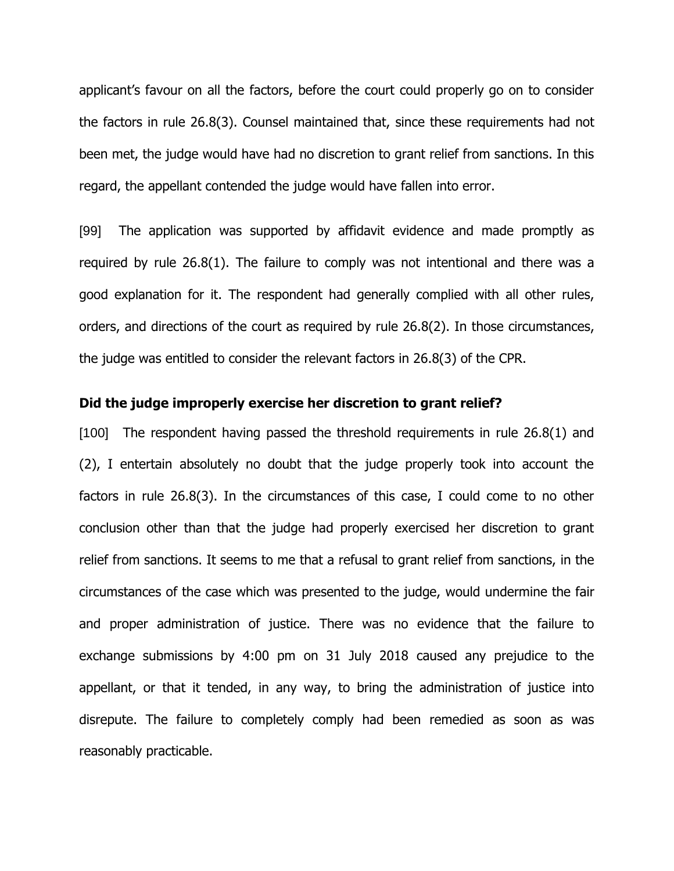applicant's favour on all the factors, before the court could properly go on to consider the factors in rule 26.8(3). Counsel maintained that, since these requirements had not been met, the judge would have had no discretion to grant relief from sanctions. In this regard, the appellant contended the judge would have fallen into error.

[99] The application was supported by affidavit evidence and made promptly as required by rule 26.8(1). The failure to comply was not intentional and there was a good explanation for it. The respondent had generally complied with all other rules, orders, and directions of the court as required by rule 26.8(2). In those circumstances, the judge was entitled to consider the relevant factors in 26.8(3) of the CPR.

# **Did the judge improperly exercise her discretion to grant relief?**

[100] The respondent having passed the threshold requirements in rule 26.8(1) and (2), I entertain absolutely no doubt that the judge properly took into account the factors in rule 26.8(3). In the circumstances of this case, I could come to no other conclusion other than that the judge had properly exercised her discretion to grant relief from sanctions. It seems to me that a refusal to grant relief from sanctions, in the circumstances of the case which was presented to the judge, would undermine the fair and proper administration of justice. There was no evidence that the failure to exchange submissions by 4:00 pm on 31 July 2018 caused any prejudice to the appellant, or that it tended, in any way, to bring the administration of justice into disrepute. The failure to completely comply had been remedied as soon as was reasonably practicable.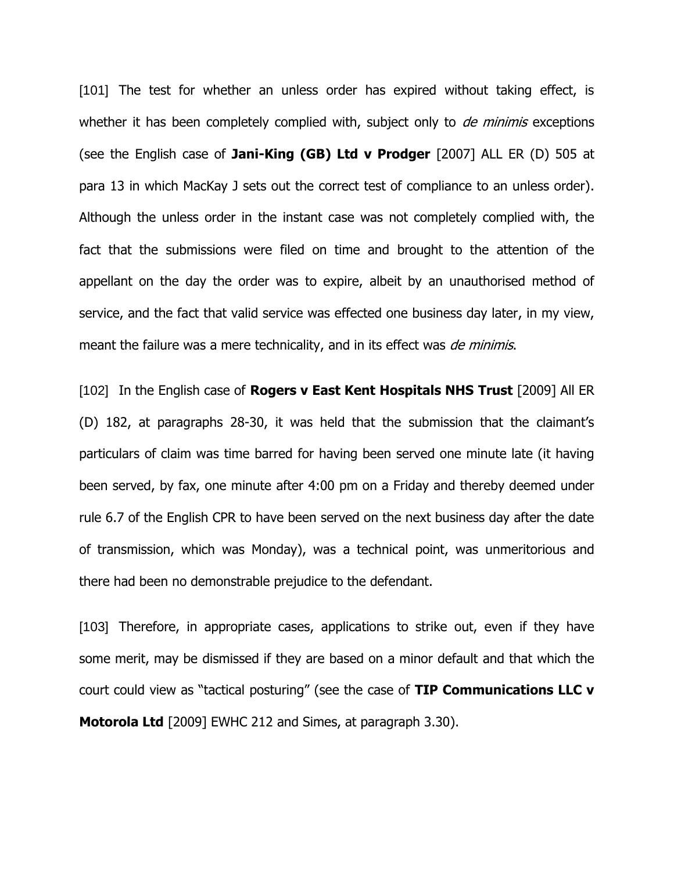[101] The test for whether an unless order has expired without taking effect, is whether it has been completely complied with, subject only to *de minimis* exceptions (see the English case of **Jani-King (GB) Ltd v Prodger** [2007] ALL ER (D) 505 at para 13 in which MacKay J sets out the correct test of compliance to an unless order). Although the unless order in the instant case was not completely complied with, the fact that the submissions were filed on time and brought to the attention of the appellant on the day the order was to expire, albeit by an unauthorised method of service, and the fact that valid service was effected one business day later, in my view, meant the failure was a mere technicality, and in its effect was *de minimis*.

[102] In the English case of **Rogers v East Kent Hospitals NHS Trust** [2009] All ER (D) 182, at paragraphs 28-30, it was held that the submission that the claimant's particulars of claim was time barred for having been served one minute late (it having been served, by fax, one minute after 4:00 pm on a Friday and thereby deemed under rule 6.7 of the English CPR to have been served on the next business day after the date of transmission, which was Monday), was a technical point, was unmeritorious and there had been no demonstrable prejudice to the defendant.

[103] Therefore, in appropriate cases, applications to strike out, even if they have some merit, may be dismissed if they are based on a minor default and that which the court could view as "tactical posturing" (see the case of **TIP Communications LLC v Motorola Ltd** [2009] EWHC 212 and Simes, at paragraph 3.30).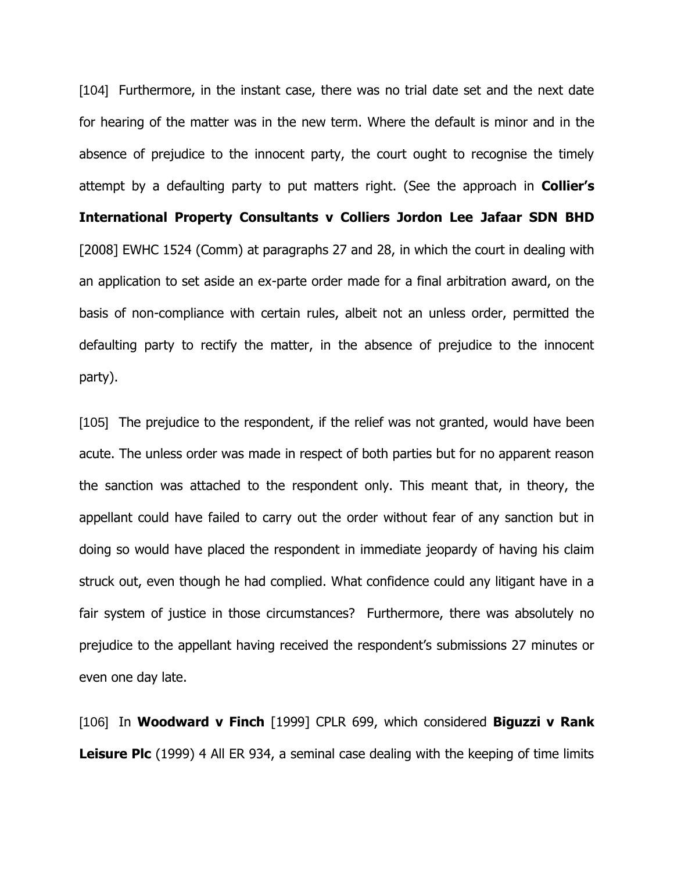[104] Furthermore, in the instant case, there was no trial date set and the next date for hearing of the matter was in the new term. Where the default is minor and in the absence of prejudice to the innocent party, the court ought to recognise the timely attempt by a defaulting party to put matters right. (See the approach in **Collier's International Property Consultants v Colliers Jordon Lee Jafaar SDN BHD**  [2008] EWHC 1524 (Comm) at paragraphs 27 and 28, in which the court in dealing with an application to set aside an ex-parte order made for a final arbitration award, on the basis of non-compliance with certain rules, albeit not an unless order, permitted the defaulting party to rectify the matter, in the absence of prejudice to the innocent party).

[105] The prejudice to the respondent, if the relief was not granted, would have been acute. The unless order was made in respect of both parties but for no apparent reason the sanction was attached to the respondent only. This meant that, in theory, the appellant could have failed to carry out the order without fear of any sanction but in doing so would have placed the respondent in immediate jeopardy of having his claim struck out, even though he had complied. What confidence could any litigant have in a fair system of justice in those circumstances? Furthermore, there was absolutely no prejudice to the appellant having received the respondent's submissions 27 minutes or even one day late.

[106] In **Woodward v Finch** [1999] CPLR 699, which considered **Biguzzi v Rank Leisure Plc** (1999) 4 All ER 934, a seminal case dealing with the keeping of time limits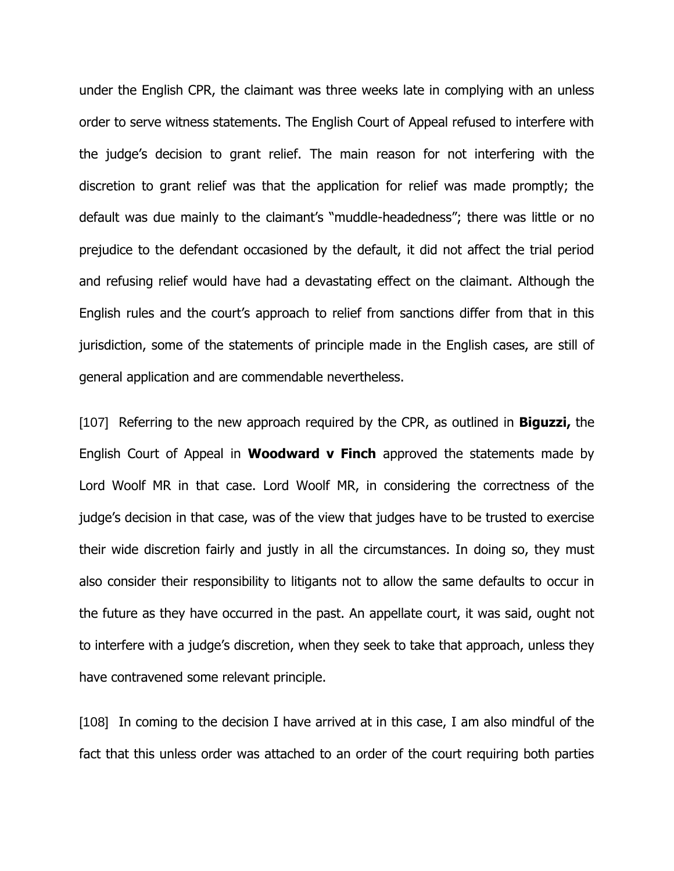under the English CPR, the claimant was three weeks late in complying with an unless order to serve witness statements. The English Court of Appeal refused to interfere with the judge's decision to grant relief. The main reason for not interfering with the discretion to grant relief was that the application for relief was made promptly; the default was due mainly to the claimant's "muddle-headedness"; there was little or no prejudice to the defendant occasioned by the default, it did not affect the trial period and refusing relief would have had a devastating effect on the claimant. Although the English rules and the court's approach to relief from sanctions differ from that in this jurisdiction, some of the statements of principle made in the English cases, are still of general application and are commendable nevertheless.

[107] Referring to the new approach required by the CPR, as outlined in **Biguzzi,** the English Court of Appeal in **Woodward v Finch** approved the statements made by Lord Woolf MR in that case. Lord Woolf MR, in considering the correctness of the judge's decision in that case, was of the view that judges have to be trusted to exercise their wide discretion fairly and justly in all the circumstances. In doing so, they must also consider their responsibility to litigants not to allow the same defaults to occur in the future as they have occurred in the past. An appellate court, it was said, ought not to interfere with a judge's discretion, when they seek to take that approach, unless they have contravened some relevant principle.

[108] In coming to the decision I have arrived at in this case, I am also mindful of the fact that this unless order was attached to an order of the court requiring both parties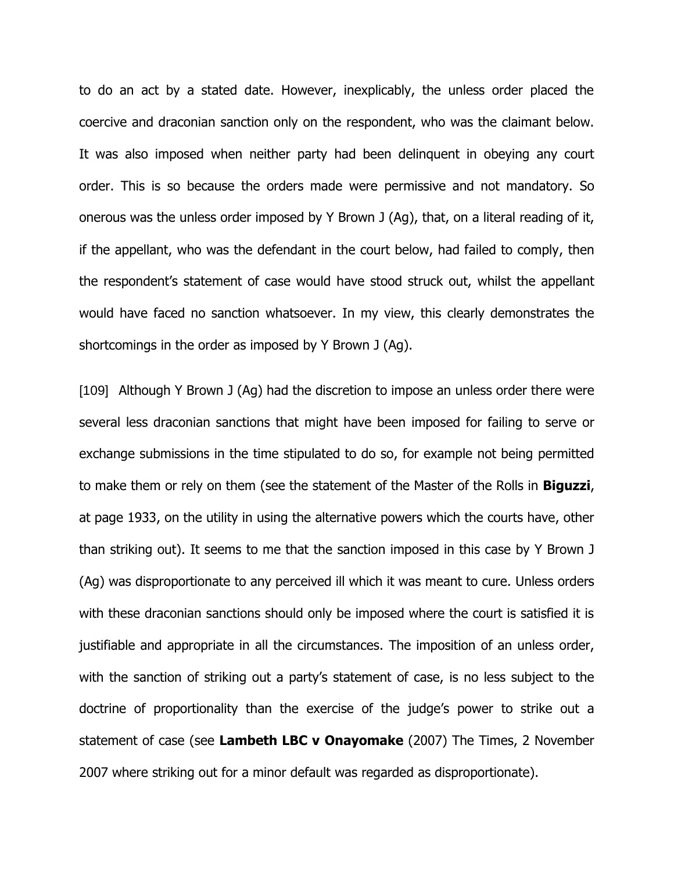to do an act by a stated date. However, inexplicably, the unless order placed the coercive and draconian sanction only on the respondent, who was the claimant below. It was also imposed when neither party had been delinquent in obeying any court order. This is so because the orders made were permissive and not mandatory. So onerous was the unless order imposed by Y Brown J (Ag), that, on a literal reading of it, if the appellant, who was the defendant in the court below, had failed to comply, then the respondent's statement of case would have stood struck out, whilst the appellant would have faced no sanction whatsoever. In my view, this clearly demonstrates the shortcomings in the order as imposed by Y Brown J (Ag).

[109] Although Y Brown J (Ag) had the discretion to impose an unless order there were several less draconian sanctions that might have been imposed for failing to serve or exchange submissions in the time stipulated to do so, for example not being permitted to make them or rely on them (see the statement of the Master of the Rolls in **Biguzzi**, at page 1933, on the utility in using the alternative powers which the courts have, other than striking out). It seems to me that the sanction imposed in this case by Y Brown J (Ag) was disproportionate to any perceived ill which it was meant to cure. Unless orders with these draconian sanctions should only be imposed where the court is satisfied it is justifiable and appropriate in all the circumstances. The imposition of an unless order, with the sanction of striking out a party's statement of case, is no less subject to the doctrine of proportionality than the exercise of the judge's power to strike out a statement of case (see **Lambeth LBC v Onayomake** (2007) The Times, 2 November 2007 where striking out for a minor default was regarded as disproportionate).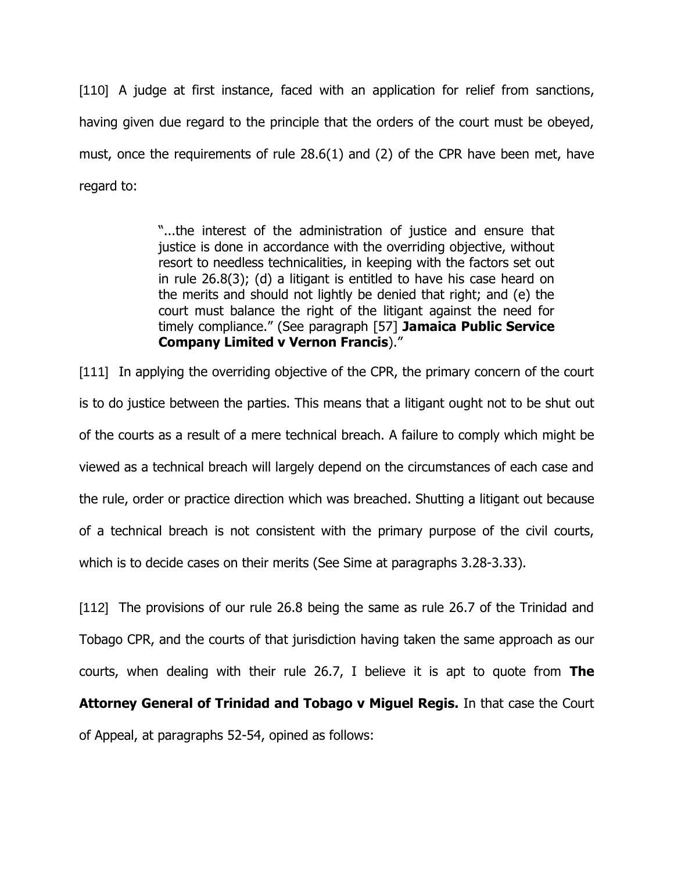[110] A judge at first instance, faced with an application for relief from sanctions, having given due regard to the principle that the orders of the court must be obeyed, must, once the requirements of rule 28.6(1) and (2) of the CPR have been met, have regard to:

> "...the interest of the administration of justice and ensure that justice is done in accordance with the overriding objective, without resort to needless technicalities, in keeping with the factors set out in rule 26.8(3); (d) a litigant is entitled to have his case heard on the merits and should not lightly be denied that right; and (e) the court must balance the right of the litigant against the need for timely compliance." (See paragraph [57] **Jamaica Public Service Company Limited v Vernon Francis**)."

[111] In applying the overriding objective of the CPR, the primary concern of the court is to do justice between the parties. This means that a litigant ought not to be shut out of the courts as a result of a mere technical breach. A failure to comply which might be viewed as a technical breach will largely depend on the circumstances of each case and the rule, order or practice direction which was breached. Shutting a litigant out because of a technical breach is not consistent with the primary purpose of the civil courts, which is to decide cases on their merits (See Sime at paragraphs 3.28-3.33).

[112] The provisions of our rule 26.8 being the same as rule 26.7 of the Trinidad and Tobago CPR, and the courts of that jurisdiction having taken the same approach as our courts, when dealing with their rule 26.7, I believe it is apt to quote from **The Attorney General of Trinidad and Tobago v Miguel Regis.** In that case the Court of Appeal, at paragraphs 52-54, opined as follows: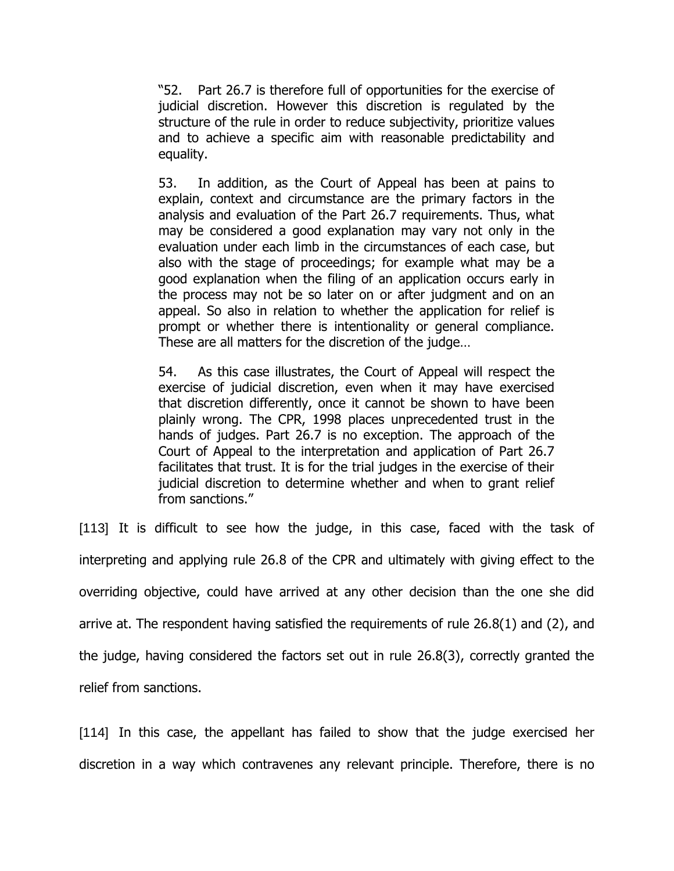"52. Part 26.7 is therefore full of opportunities for the exercise of judicial discretion. However this discretion is regulated by the structure of the rule in order to reduce subjectivity, prioritize values and to achieve a specific aim with reasonable predictability and equality.

53. In addition, as the Court of Appeal has been at pains to explain, context and circumstance are the primary factors in the analysis and evaluation of the Part 26.7 requirements. Thus, what may be considered a good explanation may vary not only in the evaluation under each limb in the circumstances of each case, but also with the stage of proceedings; for example what may be a good explanation when the filing of an application occurs early in the process may not be so later on or after judgment and on an appeal. So also in relation to whether the application for relief is prompt or whether there is intentionality or general compliance. These are all matters for the discretion of the judge…

54. As this case illustrates, the Court of Appeal will respect the exercise of judicial discretion, even when it may have exercised that discretion differently, once it cannot be shown to have been plainly wrong. The CPR, 1998 places unprecedented trust in the hands of judges. Part 26.7 is no exception. The approach of the Court of Appeal to the interpretation and application of Part 26.7 facilitates that trust. It is for the trial judges in the exercise of their judicial discretion to determine whether and when to grant relief from sanctions."

[113] It is difficult to see how the judge, in this case, faced with the task of interpreting and applying rule 26.8 of the CPR and ultimately with giving effect to the overriding objective, could have arrived at any other decision than the one she did arrive at. The respondent having satisfied the requirements of rule 26.8(1) and (2), and the judge, having considered the factors set out in rule 26.8(3), correctly granted the relief from sanctions.

[114] In this case, the appellant has failed to show that the judge exercised her discretion in a way which contravenes any relevant principle. Therefore, there is no